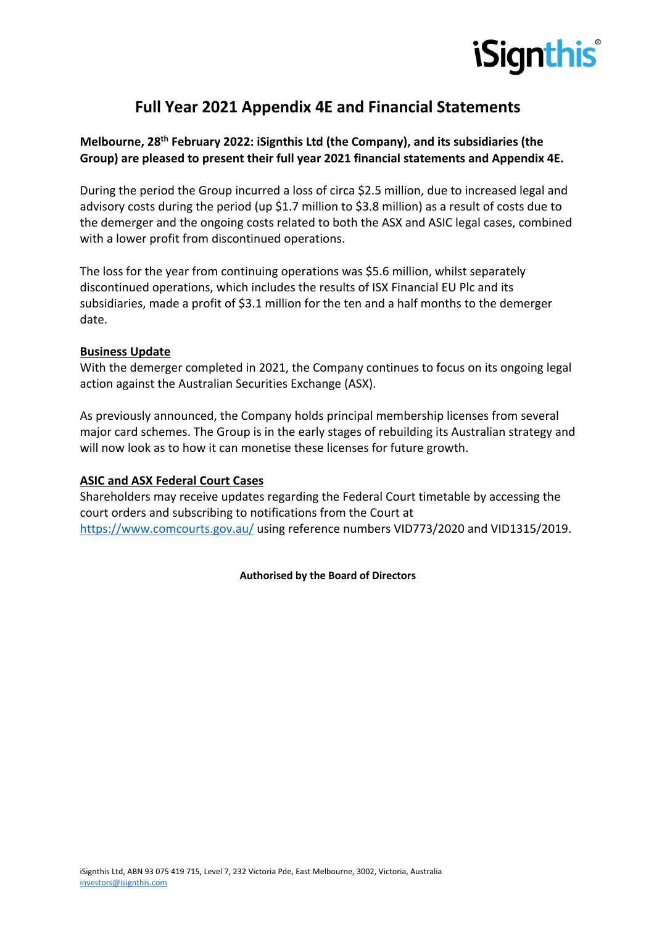

## **Full Year 2021 Appendix 4E and Financial Statements**

## **Melbourne, 28th February 2022: iSignthis Ltd (the Company), and its subsidiaries (the Group) are pleased to present their full year 2021 financial statements and Appendix 4E.**

During the period the Group incurred a loss of circa \$2.5 million, due to increased legal and advisory costs during the period (up \$1.7 million to \$3.8 million) as a result of costs due to the demerger and the ongoing costs related to both the ASX and ASIC legal cases, combined with a lower profit from discontinued operations.

The loss for the year from continuing operations was \$5.6 million, whilst separately discontinued operations, which includes the results of ISX Financial EU Plc and its subsidiaries, made a profit of \$3.1 million for the ten and a half months to the demerger date.

## **Business Update**

With the demerger completed in 2021, the Company continues to focus on its ongoing legal action against the Australian Securities Exchange (ASX).

As previously announced, the Company holds principal membership licenses from several major card schemes. The Group is in the early stages of rebuilding its Australian strategy and will now look as to how it can monetise these licenses for future growth.

## **ASIC and ASX Federal Court Cases**

Shareholders may receive updates regarding the Federal Court timetable by accessing the court orders and subscribing to notifications from the Court at https://www.comcourts.gov.au/ using reference numbers VID773/2020 and VID1315/2019.

**Authorised by the Board of Directors**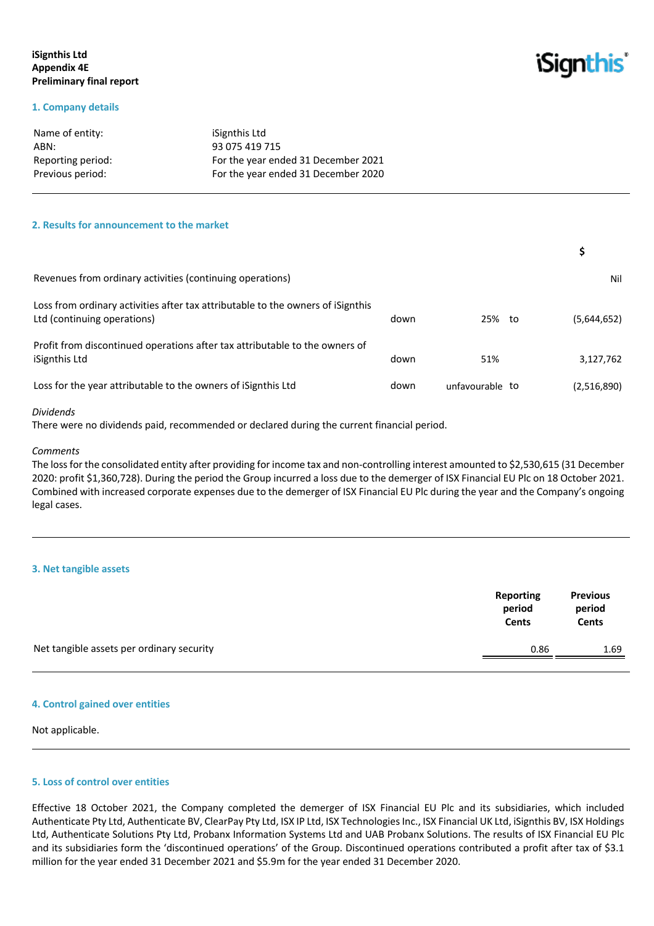## **iSignthis Ltd Appendix 4E Preliminary final report**

## *iSignthis*

#### **1. Company details**

| Name of entity:   | iSignthis Ltd                       |
|-------------------|-------------------------------------|
| ABN:              | 93 075 419 715                      |
| Reporting period: | For the year ended 31 December 2021 |
| Previous period:  | For the year ended 31 December 2020 |

#### **2. Results for announcement to the market**

| Revenues from ordinary activities (continuing operations)                                                      |      |                 | Nil         |
|----------------------------------------------------------------------------------------------------------------|------|-----------------|-------------|
| Loss from ordinary activities after tax attributable to the owners of iSignthis<br>Ltd (continuing operations) | down | 25% to          | (5,644,652) |
| Profit from discontinued operations after tax attributable to the owners of<br>iSignthis Ltd                   | down | 51%             | 3,127,762   |
| Loss for the year attributable to the owners of iSignthis Ltd                                                  | down | unfavourable to | (2,516,890) |

#### *Dividends*

There were no dividends paid, recommended or declared during the current financial period.

#### *Comments*

The loss for the consolidated entity after providing for income tax and non-controlling interest amounted to \$2,530,615 (31 December 2020: profit \$1,360,728). During the period the Group incurred a loss due to the demerger of ISX Financial EU Plc on 18 October 2021. Combined with increased corporate expenses due to the demerger of ISX Financial EU Plc during the year and the Company's ongoing legal cases.

#### **3. Net tangible assets**

|                                           | Reporting<br>period<br><b>Cents</b> | <b>Previous</b><br>period<br><b>Cents</b> |
|-------------------------------------------|-------------------------------------|-------------------------------------------|
| Net tangible assets per ordinary security | 0.86                                | 1.69                                      |

#### **4. Control gained over entities**

Not applicable.

## **5. Loss of control over entities**

Effective 18 October 2021, the Company completed the demerger of ISX Financial EU Plc and its subsidiaries, which included Authenticate Pty Ltd, Authenticate BV, ClearPay Pty Ltd, ISX IP Ltd, ISX Technologies Inc., ISX Financial UK Ltd, iSignthis BV, ISX Holdings Ltd, Authenticate Solutions Pty Ltd, Probanx Information Systems Ltd and UAB Probanx Solutions. The results of ISX Financial EU Plc and its subsidiaries form the 'discontinued operations' of the Group. Discontinued operations contributed a profit after tax of \$3.1 million for the year ended 31 December 2021 and \$5.9m for the year ended 31 December 2020.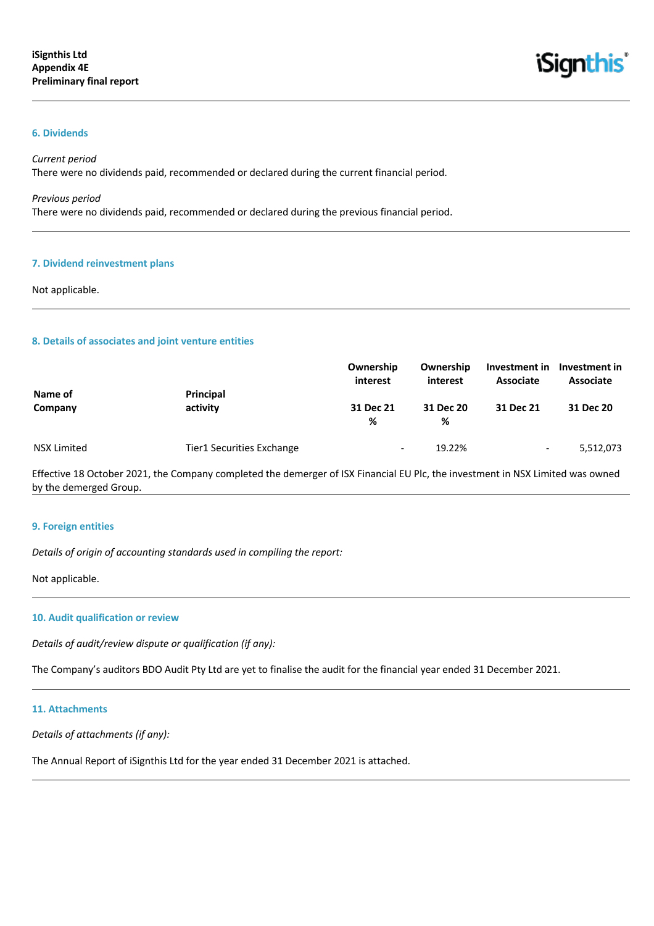

#### **6. Dividends**

#### *Current period*

There were no dividends paid, recommended or declared during the current financial period.

#### *Previous period*

There were no dividends paid, recommended or declared during the previous financial period.

## **7. Dividend reinvestment plans**

#### Not applicable.

#### **8. Details of associates and joint venture entities**

|             |                           | Ownership<br>interest    | Ownership<br>interest | Investment in<br>Associate | Investment in<br><b>Associate</b> |
|-------------|---------------------------|--------------------------|-----------------------|----------------------------|-----------------------------------|
| Name of     | Principal                 |                          |                       |                            |                                   |
| Company     | activity                  | 31 Dec 21<br>℅           | 31 Dec 20<br>%        | 31 Dec 21                  | 31 Dec 20                         |
| NSX Limited | Tier1 Securities Exchange | $\overline{\phantom{0}}$ | 19.22%                | $\overline{\phantom{0}}$   | 5,512,073                         |

Effective 18 October 2021, the Company completed the demerger of ISX Financial EU Plc, the investment in NSX Limited was owned by the demerged Group.

#### **9. Foreign entities**

*Details of origin of accounting standards used in compiling the report:*

Not applicable.

#### **10. Audit qualification or review**

*Details of audit/review dispute or qualification (if any):*

The Company's auditors BDO Audit Pty Ltd are yet to finalise the audit for the financial year ended 31 December 2021.

#### **11. Attachments**

*Details of attachments (if any):*

The Annual Report of iSignthis Ltd for the year ended 31 December 2021 is attached.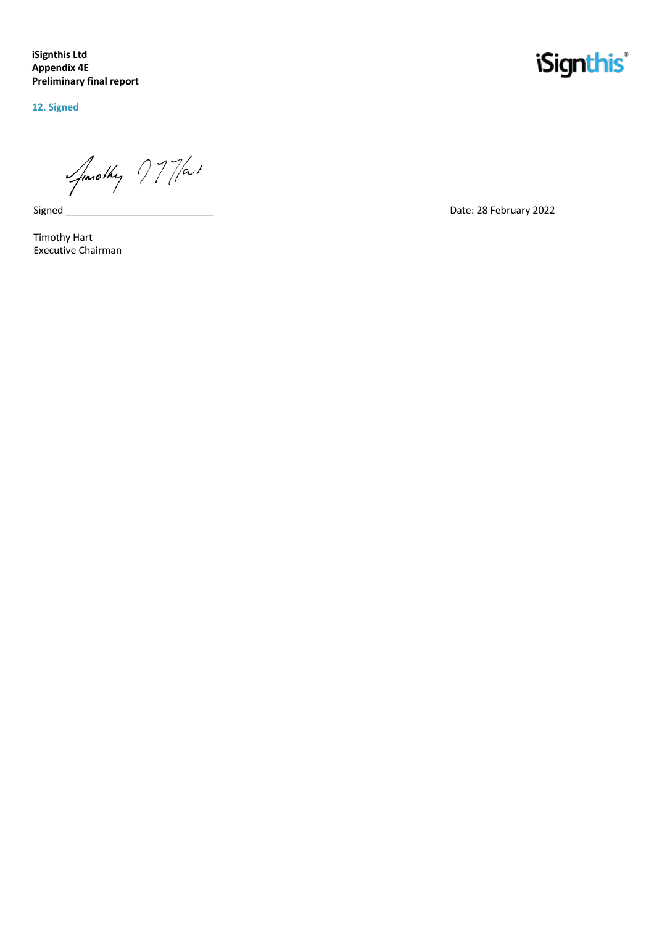**iSignthis Ltd Appendix 4E Preliminary final report**

**12. Signed**

Jonothy 77/at

Signed\_

Timothy Hart Executive Chairman

## *iSignthis*

Date: 28 February 2022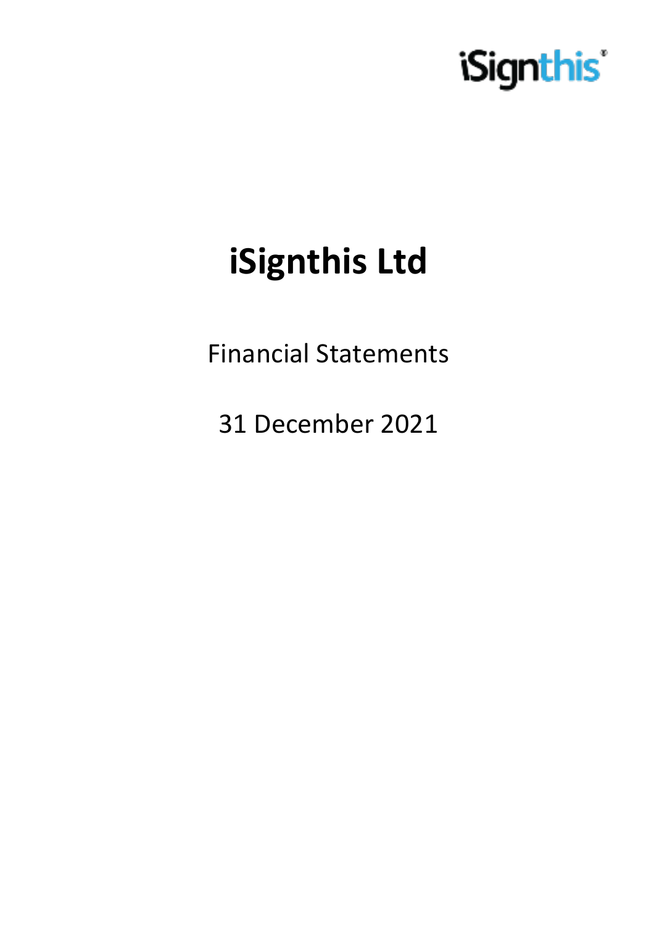

# **iSignthis Ltd**

Financial Statements

31 December 2021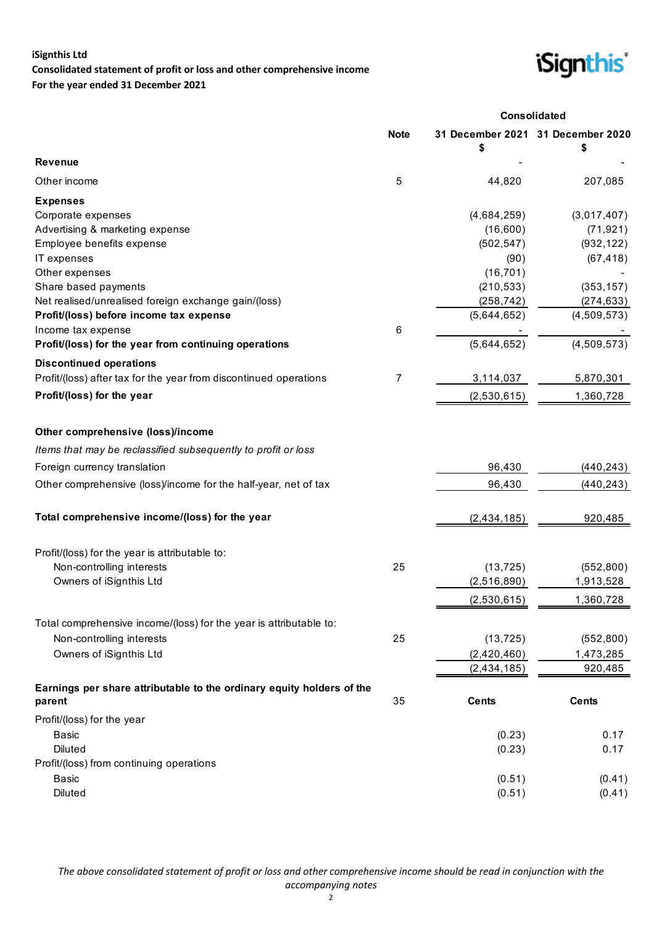## **iSignthis Ltd Consolidated statement of profit or loss and other comprehensive income For the year ended 31 December 2021**



|                                                                              |             |                          | <b>Consolidated</b>               |
|------------------------------------------------------------------------------|-------------|--------------------------|-----------------------------------|
|                                                                              | <b>Note</b> |                          | 31 December 2021 31 December 2020 |
| <b>Revenue</b>                                                               |             |                          |                                   |
| Other income                                                                 | 5           | 44,820                   | 207,085                           |
| <b>Expenses</b>                                                              |             |                          |                                   |
| Corporate expenses                                                           |             | (4,684,259)              | (3,017,407)                       |
| Advertising & marketing expense                                              |             | (16,600)                 | (71, 921)                         |
| Employee benefits expense                                                    |             | (502, 547)               | (932, 122)                        |
| IT expenses                                                                  |             | (90)                     | (67, 418)                         |
| Other expenses                                                               |             | (16, 701)                |                                   |
| Share based payments<br>Net realised/unrealised foreign exchange gain/(loss) |             | (210, 533)<br>(258, 742) | (353, 157)<br>(274, 633)          |
| Profit/(loss) before income tax expense                                      |             | (5,644,652)              | (4,509,573)                       |
| Income tax expense                                                           | 6           |                          |                                   |
| Profit/(loss) for the year from continuing operations                        |             | (5,644,652)              | (4,509,573)                       |
| <b>Discontinued operations</b>                                               |             |                          |                                   |
| Profit/(loss) after tax for the year from discontinued operations            | 7           | 3,114,037                | 5,870,301                         |
| Profit/(loss) for the year                                                   |             | (2,530,615)              | 1,360,728                         |
| Other comprehensive (loss)/income                                            |             |                          |                                   |
|                                                                              |             |                          |                                   |
| Items that may be reclassified subsequently to profit or loss                |             |                          |                                   |
| Foreign currency translation                                                 |             | 96,430                   | (440, 243)                        |
| Other comprehensive (loss)/income for the half-year, net of tax              |             | 96,430                   | (440, 243)                        |
| Total comprehensive income/(loss) for the year                               |             | (2, 434, 185)            | 920,485                           |
| Profit/(loss) for the year is attributable to:                               |             |                          |                                   |
| Non-controlling interests                                                    | 25          | (13, 725)                | (552, 800)                        |
| Owners of iSignthis Ltd                                                      |             | (2,516,890)              | 1,913,528                         |
|                                                                              |             | (2,530,615)              | 1,360,728                         |
| Total comprehensive income/(loss) for the year is attributable to:           |             |                          |                                   |
| Non-controlling interests                                                    | 25          | (13, 725)                | (552, 800)                        |
| Owners of iSignthis Ltd                                                      |             | (2,420,460)              | 1,473,285                         |
|                                                                              |             | (2, 434, 185)            | 920,485                           |
| Earnings per share attributable to the ordinary equity holders of the        |             |                          |                                   |
| parent                                                                       | 35          | <b>Cents</b>             | <b>Cents</b>                      |
| Profit/(loss) for the year                                                   |             |                          |                                   |
| <b>Basic</b>                                                                 |             | (0.23)                   | 0.17                              |
| <b>Diluted</b>                                                               |             | (0.23)                   | 0.17                              |
| Profit/(loss) from continuing operations                                     |             |                          |                                   |
| <b>Basic</b>                                                                 |             | (0.51)                   | (0.41)                            |
| <b>Diluted</b>                                                               |             | (0.51)                   | (0.41)                            |

*The above consolidated statement of profit or loss and other comprehensive income should be read in conjunction with the accompanying notes*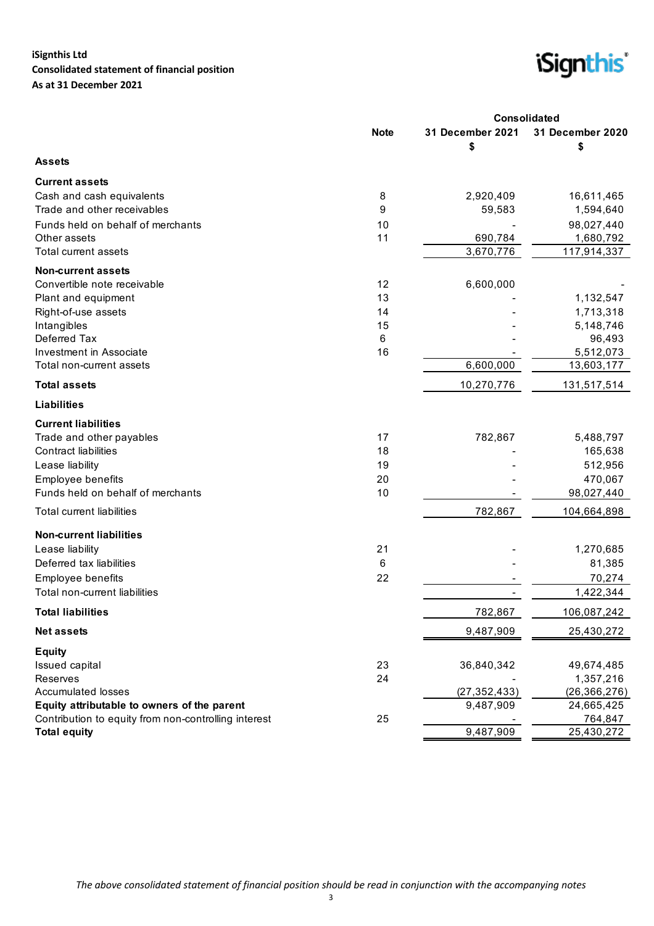## **iSignthis Ltd Consolidated statement of financial position As at 31 December 2021**



| 31 December 2021<br>31 December 2020<br><b>Note</b><br>\$<br>\$<br><b>Assets</b><br><b>Current assets</b><br>Cash and cash equivalents<br>8<br>2,920,409<br>16,611,465<br>Trade and other receivables<br>9<br>59,583<br>1,594,640<br>Funds held on behalf of merchants<br>10<br>98,027,440<br>Other assets<br>11<br>690,784<br>1,680,792<br>3,670,776<br>117,914,337<br>Total current assets<br><b>Non-current assets</b><br>Convertible note receivable<br>12<br>6,600,000<br>13<br>1,132,547<br>Plant and equipment<br>14<br>1,713,318<br>Right-of-use assets<br>15<br>Intangibles<br>5,148,746<br>Deferred Tax<br>6<br>96,493<br>16<br>Investment in Associate<br>5,512,073<br>6,600,000<br>13,603,177<br>Total non-current assets<br><b>Total assets</b><br>10,270,776<br>131,517,514<br><b>Liabilities</b><br><b>Current liabilities</b><br>17<br>5,488,797<br>Trade and other payables<br>782,867<br>18<br><b>Contract liabilities</b><br>165,638<br>19<br>512,956<br>Lease liability<br>Employee benefits<br>20<br>470,067<br>Funds held on behalf of merchants<br>10<br>98,027,440<br>782,867<br><b>Total current liabilities</b><br>104,664,898<br><b>Non-current liabilities</b><br>21<br>Lease liability<br>1,270,685<br>6<br>81,385<br>Deferred tax liabilities<br>22<br>70,274<br>Employee benefits<br>Total non-current liabilities<br>1,422,344<br><b>Total liabilities</b><br>782,867<br>106,087,242<br><b>Net assets</b><br>9,487,909<br>25,430,272 |  | <b>Consolidated</b> |  |
|----------------------------------------------------------------------------------------------------------------------------------------------------------------------------------------------------------------------------------------------------------------------------------------------------------------------------------------------------------------------------------------------------------------------------------------------------------------------------------------------------------------------------------------------------------------------------------------------------------------------------------------------------------------------------------------------------------------------------------------------------------------------------------------------------------------------------------------------------------------------------------------------------------------------------------------------------------------------------------------------------------------------------------------------------------------------------------------------------------------------------------------------------------------------------------------------------------------------------------------------------------------------------------------------------------------------------------------------------------------------------------------------------------------------------------------------------------------------|--|---------------------|--|
|                                                                                                                                                                                                                                                                                                                                                                                                                                                                                                                                                                                                                                                                                                                                                                                                                                                                                                                                                                                                                                                                                                                                                                                                                                                                                                                                                                                                                                                                      |  |                     |  |
|                                                                                                                                                                                                                                                                                                                                                                                                                                                                                                                                                                                                                                                                                                                                                                                                                                                                                                                                                                                                                                                                                                                                                                                                                                                                                                                                                                                                                                                                      |  |                     |  |
|                                                                                                                                                                                                                                                                                                                                                                                                                                                                                                                                                                                                                                                                                                                                                                                                                                                                                                                                                                                                                                                                                                                                                                                                                                                                                                                                                                                                                                                                      |  |                     |  |
|                                                                                                                                                                                                                                                                                                                                                                                                                                                                                                                                                                                                                                                                                                                                                                                                                                                                                                                                                                                                                                                                                                                                                                                                                                                                                                                                                                                                                                                                      |  |                     |  |
|                                                                                                                                                                                                                                                                                                                                                                                                                                                                                                                                                                                                                                                                                                                                                                                                                                                                                                                                                                                                                                                                                                                                                                                                                                                                                                                                                                                                                                                                      |  |                     |  |
|                                                                                                                                                                                                                                                                                                                                                                                                                                                                                                                                                                                                                                                                                                                                                                                                                                                                                                                                                                                                                                                                                                                                                                                                                                                                                                                                                                                                                                                                      |  |                     |  |
|                                                                                                                                                                                                                                                                                                                                                                                                                                                                                                                                                                                                                                                                                                                                                                                                                                                                                                                                                                                                                                                                                                                                                                                                                                                                                                                                                                                                                                                                      |  |                     |  |
|                                                                                                                                                                                                                                                                                                                                                                                                                                                                                                                                                                                                                                                                                                                                                                                                                                                                                                                                                                                                                                                                                                                                                                                                                                                                                                                                                                                                                                                                      |  |                     |  |
|                                                                                                                                                                                                                                                                                                                                                                                                                                                                                                                                                                                                                                                                                                                                                                                                                                                                                                                                                                                                                                                                                                                                                                                                                                                                                                                                                                                                                                                                      |  |                     |  |
|                                                                                                                                                                                                                                                                                                                                                                                                                                                                                                                                                                                                                                                                                                                                                                                                                                                                                                                                                                                                                                                                                                                                                                                                                                                                                                                                                                                                                                                                      |  |                     |  |
|                                                                                                                                                                                                                                                                                                                                                                                                                                                                                                                                                                                                                                                                                                                                                                                                                                                                                                                                                                                                                                                                                                                                                                                                                                                                                                                                                                                                                                                                      |  |                     |  |
|                                                                                                                                                                                                                                                                                                                                                                                                                                                                                                                                                                                                                                                                                                                                                                                                                                                                                                                                                                                                                                                                                                                                                                                                                                                                                                                                                                                                                                                                      |  |                     |  |
|                                                                                                                                                                                                                                                                                                                                                                                                                                                                                                                                                                                                                                                                                                                                                                                                                                                                                                                                                                                                                                                                                                                                                                                                                                                                                                                                                                                                                                                                      |  |                     |  |
|                                                                                                                                                                                                                                                                                                                                                                                                                                                                                                                                                                                                                                                                                                                                                                                                                                                                                                                                                                                                                                                                                                                                                                                                                                                                                                                                                                                                                                                                      |  |                     |  |
|                                                                                                                                                                                                                                                                                                                                                                                                                                                                                                                                                                                                                                                                                                                                                                                                                                                                                                                                                                                                                                                                                                                                                                                                                                                                                                                                                                                                                                                                      |  |                     |  |
|                                                                                                                                                                                                                                                                                                                                                                                                                                                                                                                                                                                                                                                                                                                                                                                                                                                                                                                                                                                                                                                                                                                                                                                                                                                                                                                                                                                                                                                                      |  |                     |  |
|                                                                                                                                                                                                                                                                                                                                                                                                                                                                                                                                                                                                                                                                                                                                                                                                                                                                                                                                                                                                                                                                                                                                                                                                                                                                                                                                                                                                                                                                      |  |                     |  |
|                                                                                                                                                                                                                                                                                                                                                                                                                                                                                                                                                                                                                                                                                                                                                                                                                                                                                                                                                                                                                                                                                                                                                                                                                                                                                                                                                                                                                                                                      |  |                     |  |
|                                                                                                                                                                                                                                                                                                                                                                                                                                                                                                                                                                                                                                                                                                                                                                                                                                                                                                                                                                                                                                                                                                                                                                                                                                                                                                                                                                                                                                                                      |  |                     |  |
|                                                                                                                                                                                                                                                                                                                                                                                                                                                                                                                                                                                                                                                                                                                                                                                                                                                                                                                                                                                                                                                                                                                                                                                                                                                                                                                                                                                                                                                                      |  |                     |  |
|                                                                                                                                                                                                                                                                                                                                                                                                                                                                                                                                                                                                                                                                                                                                                                                                                                                                                                                                                                                                                                                                                                                                                                                                                                                                                                                                                                                                                                                                      |  |                     |  |
|                                                                                                                                                                                                                                                                                                                                                                                                                                                                                                                                                                                                                                                                                                                                                                                                                                                                                                                                                                                                                                                                                                                                                                                                                                                                                                                                                                                                                                                                      |  |                     |  |
|                                                                                                                                                                                                                                                                                                                                                                                                                                                                                                                                                                                                                                                                                                                                                                                                                                                                                                                                                                                                                                                                                                                                                                                                                                                                                                                                                                                                                                                                      |  |                     |  |
|                                                                                                                                                                                                                                                                                                                                                                                                                                                                                                                                                                                                                                                                                                                                                                                                                                                                                                                                                                                                                                                                                                                                                                                                                                                                                                                                                                                                                                                                      |  |                     |  |
|                                                                                                                                                                                                                                                                                                                                                                                                                                                                                                                                                                                                                                                                                                                                                                                                                                                                                                                                                                                                                                                                                                                                                                                                                                                                                                                                                                                                                                                                      |  |                     |  |
|                                                                                                                                                                                                                                                                                                                                                                                                                                                                                                                                                                                                                                                                                                                                                                                                                                                                                                                                                                                                                                                                                                                                                                                                                                                                                                                                                                                                                                                                      |  |                     |  |
|                                                                                                                                                                                                                                                                                                                                                                                                                                                                                                                                                                                                                                                                                                                                                                                                                                                                                                                                                                                                                                                                                                                                                                                                                                                                                                                                                                                                                                                                      |  |                     |  |
|                                                                                                                                                                                                                                                                                                                                                                                                                                                                                                                                                                                                                                                                                                                                                                                                                                                                                                                                                                                                                                                                                                                                                                                                                                                                                                                                                                                                                                                                      |  |                     |  |
|                                                                                                                                                                                                                                                                                                                                                                                                                                                                                                                                                                                                                                                                                                                                                                                                                                                                                                                                                                                                                                                                                                                                                                                                                                                                                                                                                                                                                                                                      |  |                     |  |
|                                                                                                                                                                                                                                                                                                                                                                                                                                                                                                                                                                                                                                                                                                                                                                                                                                                                                                                                                                                                                                                                                                                                                                                                                                                                                                                                                                                                                                                                      |  |                     |  |
|                                                                                                                                                                                                                                                                                                                                                                                                                                                                                                                                                                                                                                                                                                                                                                                                                                                                                                                                                                                                                                                                                                                                                                                                                                                                                                                                                                                                                                                                      |  |                     |  |
|                                                                                                                                                                                                                                                                                                                                                                                                                                                                                                                                                                                                                                                                                                                                                                                                                                                                                                                                                                                                                                                                                                                                                                                                                                                                                                                                                                                                                                                                      |  |                     |  |
| <b>Equity</b>                                                                                                                                                                                                                                                                                                                                                                                                                                                                                                                                                                                                                                                                                                                                                                                                                                                                                                                                                                                                                                                                                                                                                                                                                                                                                                                                                                                                                                                        |  |                     |  |
| Issued capital<br>23<br>36,840,342<br>49,674,485                                                                                                                                                                                                                                                                                                                                                                                                                                                                                                                                                                                                                                                                                                                                                                                                                                                                                                                                                                                                                                                                                                                                                                                                                                                                                                                                                                                                                     |  |                     |  |
| Reserves<br>24<br>1,357,216                                                                                                                                                                                                                                                                                                                                                                                                                                                                                                                                                                                                                                                                                                                                                                                                                                                                                                                                                                                                                                                                                                                                                                                                                                                                                                                                                                                                                                          |  |                     |  |
| <b>Accumulated losses</b><br>(26, 366, 276)<br>(27, 352, 433)                                                                                                                                                                                                                                                                                                                                                                                                                                                                                                                                                                                                                                                                                                                                                                                                                                                                                                                                                                                                                                                                                                                                                                                                                                                                                                                                                                                                        |  |                     |  |
| Equity attributable to owners of the parent<br>9,487,909<br>24,665,425<br>Contribution to equity from non-controlling interest                                                                                                                                                                                                                                                                                                                                                                                                                                                                                                                                                                                                                                                                                                                                                                                                                                                                                                                                                                                                                                                                                                                                                                                                                                                                                                                                       |  |                     |  |
| 25<br>764,847<br>9,487,909<br>25,430,272<br><b>Total equity</b>                                                                                                                                                                                                                                                                                                                                                                                                                                                                                                                                                                                                                                                                                                                                                                                                                                                                                                                                                                                                                                                                                                                                                                                                                                                                                                                                                                                                      |  |                     |  |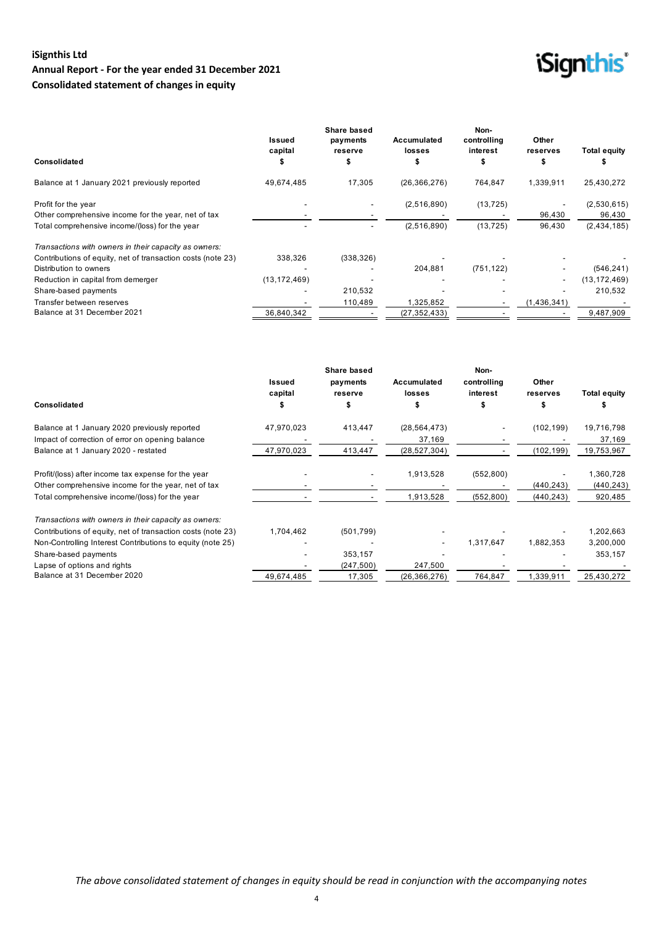## **iSignthis Ltd Annual Report - For the year ended 31 December 2021 Consolidated statement of changes in equity**

## *iSignthis*

|                                                             | Issued<br>capital | Share based<br>payments<br>reserve | Accumulated<br>losses | Non-<br>controlling<br>interest | Other<br>reserves        | Total equity   |
|-------------------------------------------------------------|-------------------|------------------------------------|-----------------------|---------------------------------|--------------------------|----------------|
| Consolidated                                                |                   | э                                  |                       |                                 | ъ                        |                |
| Balance at 1 January 2021 previously reported               | 49.674.485        | 17,305                             | (26, 366, 276)        | 764,847                         | 1,339,911                | 25,430,272     |
| Profit for the year                                         |                   |                                    | (2,516,890)           | (13, 725)                       | $\overline{\phantom{a}}$ | (2,530,615)    |
| Other comprehensive income for the year, net of tax         |                   |                                    |                       |                                 | 96,430                   | 96,430         |
| Total comprehensive income/(loss) for the year              |                   | ۰                                  | (2,516,890)           | (13, 725)                       | 96,430                   | (2, 434, 185)  |
| Transactions with owners in their capacity as owners:       |                   |                                    |                       |                                 |                          |                |
| Contributions of equity, net of transaction costs (note 23) | 338.326           | (338, 326)                         |                       |                                 |                          |                |
| Distribution to owners                                      |                   |                                    | 204,881               | (751, 122)                      |                          | (546, 241)     |
| Reduction in capital from demerger                          | (13, 172, 469)    |                                    |                       |                                 | $\overline{\phantom{a}}$ | (13, 172, 469) |
| Share-based payments                                        |                   | 210,532                            |                       |                                 |                          | 210,532        |
| Transfer between reserves                                   |                   | 110,489                            | 1,325,852             |                                 | (1,436,341)              |                |
| Balance at 31 December 2021                                 | 36,840,342        |                                    | (27,352,433)          |                                 |                          | 9,487,909      |

|                                                             |               | <b>Share based</b> |                | Non-        |            |                     |
|-------------------------------------------------------------|---------------|--------------------|----------------|-------------|------------|---------------------|
|                                                             | <b>Issued</b> | payments           | Accumulated    | controlling | Other      |                     |
|                                                             | capital       | reserve            | <b>losses</b>  | interest    | reserves   | <b>Total equity</b> |
| Consolidated                                                |               |                    |                |             |            |                     |
| Balance at 1 January 2020 previously reported               | 47,970,023    | 413,447            | (28, 564, 473) |             | (102, 199) | 19,716,798          |
| Impact of correction of error on opening balance            |               |                    | 37,169         |             |            | 37,169              |
| Balance at 1 January 2020 - restated                        | 47,970,023    | 413,447            | (28, 527, 304) |             | (102, 199) | 19,753,967          |
| Profit/(loss) after income tax expense for the year         |               |                    | 1,913,528      | (552, 800)  |            | 1,360,728           |
| Other comprehensive income for the year, net of tax         |               |                    |                |             | (440, 243) | (440, 243)          |
| Total comprehensive income/(loss) for the year              |               |                    | 1,913,528      | (552, 800)  | (440, 243) | 920,485             |
| Transactions with owners in their capacity as owners:       |               |                    |                |             |            |                     |
| Contributions of equity, net of transaction costs (note 23) | 1,704,462     | (501, 799)         |                |             |            | 1,202,663           |
| Non-Controlling Interest Contributions to equity (note 25)  |               |                    |                | 1,317,647   | 1,882,353  | 3,200,000           |
| Share-based payments                                        |               | 353,157            |                |             |            | 353,157             |
| Lapse of options and rights                                 |               | (247, 500)         | 247,500        |             |            |                     |
| Balance at 31 December 2020                                 | 49,674,485    | 17,305             | (26, 366, 276) | 764,847     | 1,339,911  | 25,430,272          |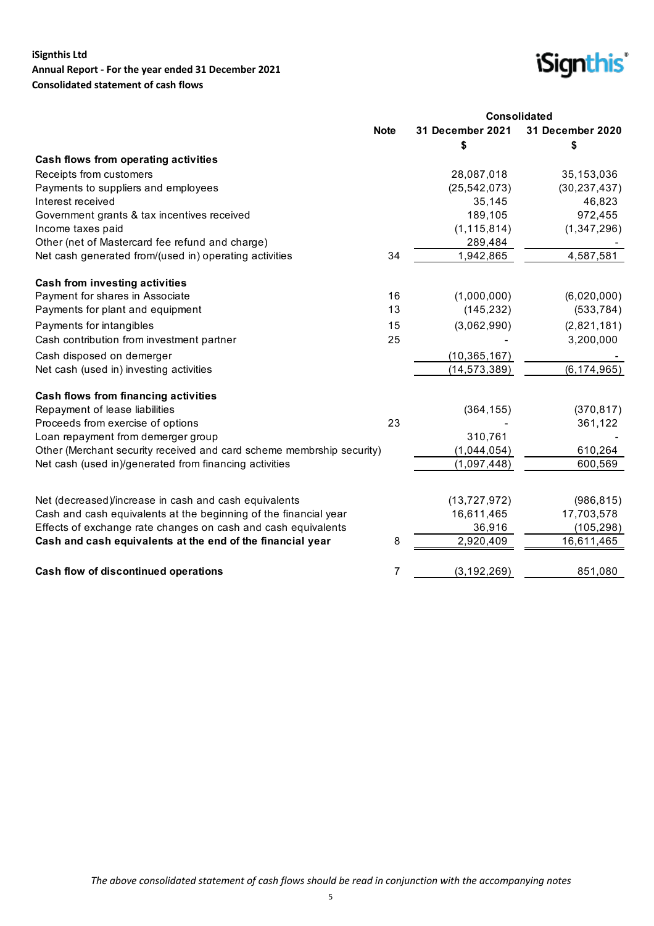## **iSignthis Ltd Annual Report - For the year ended 31 December 2021 Consolidated statement of cash flows**



|                                                                       |             | <b>Consolidated</b>    |                        |  |  |
|-----------------------------------------------------------------------|-------------|------------------------|------------------------|--|--|
|                                                                       | <b>Note</b> | 31 December 2021<br>\$ | 31 December 2020<br>\$ |  |  |
| Cash flows from operating activities                                  |             |                        |                        |  |  |
| Receipts from customers                                               |             | 28,087,018             | 35,153,036             |  |  |
| Payments to suppliers and employees                                   |             | (25, 542, 073)         | (30, 237, 437)         |  |  |
| Interest received                                                     |             | 35,145                 | 46,823                 |  |  |
| Government grants & tax incentives received                           |             | 189,105                | 972,455                |  |  |
| Income taxes paid                                                     |             | (1, 115, 814)          | (1, 347, 296)          |  |  |
| Other (net of Mastercard fee refund and charge)                       |             | 289,484                |                        |  |  |
| Net cash generated from/(used in) operating activities                | 34          | 1,942,865              | 4,587,581              |  |  |
| <b>Cash from investing activities</b>                                 |             |                        |                        |  |  |
| Payment for shares in Associate                                       | 16          | (1,000,000)            | (6,020,000)            |  |  |
| Payments for plant and equipment                                      | 13          | (145, 232)             | (533, 784)             |  |  |
| Payments for intangibles                                              | 15          | (3,062,990)            | (2,821,181)            |  |  |
| Cash contribution from investment partner                             | 25          |                        | 3,200,000              |  |  |
| Cash disposed on demerger                                             |             | (10, 365, 167)         |                        |  |  |
| Net cash (used in) investing activities                               |             | (14, 573, 389)         | (6, 174, 965)          |  |  |
| Cash flows from financing activities                                  |             |                        |                        |  |  |
| Repayment of lease liabilities                                        |             | (364, 155)             | (370, 817)             |  |  |
| Proceeds from exercise of options                                     | 23          |                        | 361,122                |  |  |
| Loan repayment from demerger group                                    |             | 310,761                |                        |  |  |
| Other (Merchant security received and card scheme membrship security) |             | (1,044,054)            | 610,264                |  |  |
| Net cash (used in)/generated from financing activities                |             | (1,097,448)            | 600,569                |  |  |
|                                                                       |             |                        |                        |  |  |
| Net (decreased)/increase in cash and cash equivalents                 |             | (13, 727, 972)         | (986, 815)             |  |  |
| Cash and cash equivalents at the beginning of the financial year      |             | 16,611,465             | 17,703,578             |  |  |
| Effects of exchange rate changes on cash and cash equivalents         |             | 36,916                 | (105, 298)             |  |  |
| Cash and cash equivalents at the end of the financial year            | 8           | 2,920,409              | 16,611,465             |  |  |
| Cash flow of discontinued operations                                  | 7           | (3, 192, 269)          | 851,080                |  |  |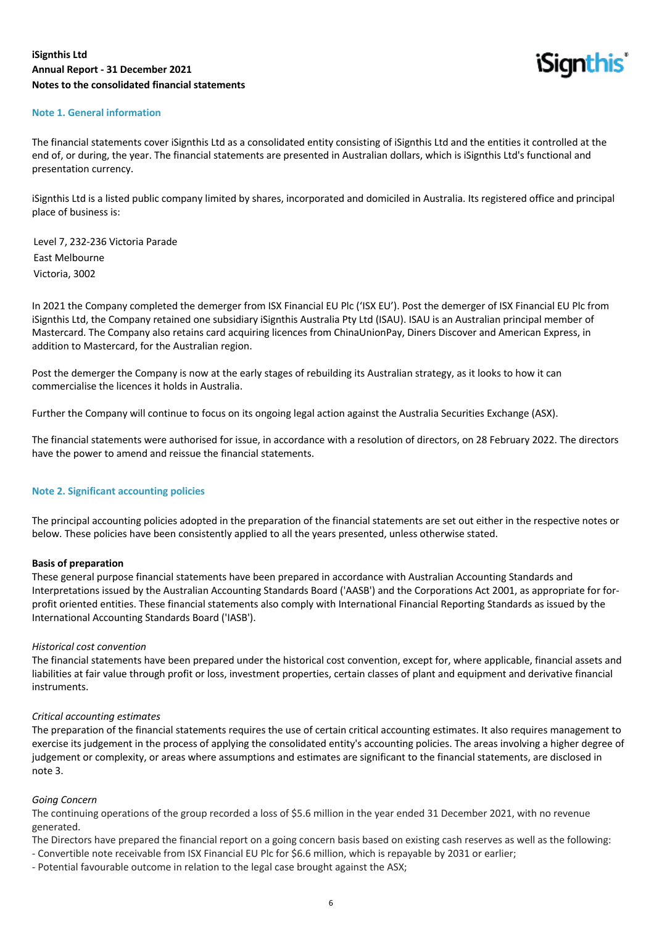

#### **Note 1. General information**

The financial statements cover iSignthis Ltd as a consolidated entity consisting of iSignthis Ltd and the entities it controlled at the end of, or during, the year. The financial statements are presented in Australian dollars, which is iSignthis Ltd's functional and presentation currency.

iSignthis Ltd is a listed public company limited by shares, incorporated and domiciled in Australia. Its registered office and principal place of business is:

Level 7, 232-236 Victoria Parade East Melbourne Victoria, 3002

In 2021 the Company completed the demerger from ISX Financial EU Plc ('ISX EU'). Post the demerger of ISX Financial EU Plc from iSignthis Ltd, the Company retained one subsidiary iSignthis Australia Pty Ltd (ISAU). ISAU is an Australian principal member of Mastercard. The Company also retains card acquiring licences from ChinaUnionPay, Diners Discover and American Express, in addition to Mastercard, for the Australian region.

Post the demerger the Company is now at the early stages of rebuilding its Australian strategy, as it looks to how it can commercialise the licences it holds in Australia.

Further the Company will continue to focus on its ongoing legal action against the Australia Securities Exchange (ASX).

The financial statements were authorised for issue, in accordance with a resolution of directors, on 28 February 2022. The directors have the power to amend and reissue the financial statements.

#### **Note 2. Significant accounting policies**

The principal accounting policies adopted in the preparation of the financial statements are set out either in the respective notes or below. These policies have been consistently applied to all the years presented, unless otherwise stated.

#### **Basis of preparation**

These general purpose financial statements have been prepared in accordance with Australian Accounting Standards and Interpretations issued by the Australian Accounting Standards Board ('AASB') and the Corporations Act 2001, as appropriate for forprofit oriented entities. These financial statements also comply with International Financial Reporting Standards as issued by the International Accounting Standards Board ('IASB').

#### *Historical cost convention*

The financial statements have been prepared under the historical cost convention, except for, where applicable, financial assets and liabilities at fair value through profit or loss, investment properties, certain classes of plant and equipment and derivative financial instruments.

#### *Critical accounting estimates*

The preparation of the financial statements requires the use of certain critical accounting estimates. It also requires management to exercise its judgement in the process of applying the consolidated entity's accounting policies. The areas involving a higher degree of judgement or complexity, or areas where assumptions and estimates are significant to the financial statements, are disclosed in note 3.

#### *Going Concern*

The continuing operations of the group recorded a loss of \$5.6 million in the year ended 31 December 2021, with no revenue generated.

The Directors have prepared the financial report on a going concern basis based on existing cash reserves as well as the following:

- Convertible note receivable from ISX Financial EU Plc for \$6.6 million, which is repayable by 2031 or earlier;
- Potential favourable outcome in relation to the legal case brought against the ASX;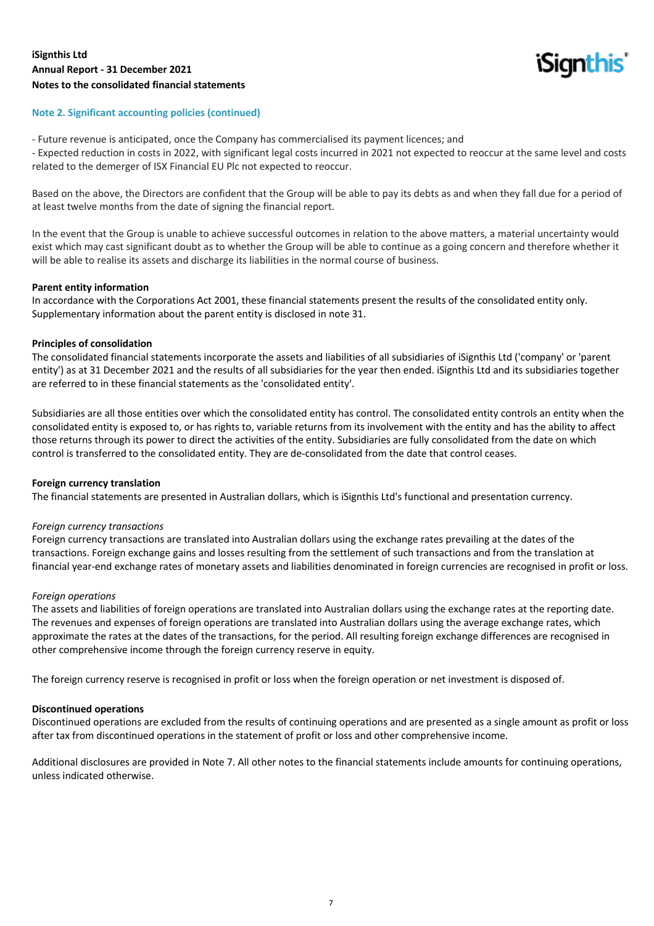

## **Note 2. Significant accounting policies (continued)**

- Future revenue is anticipated, once the Company has commercialised its payment licences; and

- Expected reduction in costs in 2022, with significant legal costs incurred in 2021 not expected to reoccur at the same level and costs related to the demerger of ISX Financial EU Plc not expected to reoccur.

Based on the above, the Directors are confident that the Group will be able to pay its debts as and when they fall due for a period of at least twelve months from the date of signing the financial report.

In the event that the Group is unable to achieve successful outcomes in relation to the above matters, a material uncertainty would exist which may cast significant doubt as to whether the Group will be able to continue as a going concern and therefore whether it will be able to realise its assets and discharge its liabilities in the normal course of business.

#### **Parent entity information**

In accordance with the Corporations Act 2001, these financial statements present the results of the consolidated entity only. Supplementary information about the parent entity is disclosed in note 31.

#### **Principles of consolidation**

The consolidated financial statements incorporate the assets and liabilities of all subsidiaries of iSignthis Ltd ('company' or 'parent entity') as at 31 December 2021 and the results of all subsidiaries for the year then ended. iSignthis Ltd and its subsidiaries together are referred to in these financial statements as the 'consolidated entity'.

Subsidiaries are all those entities over which the consolidated entity has control. The consolidated entity controls an entity when the consolidated entity is exposed to, or has rights to, variable returns from its involvement with the entity and has the ability to affect those returns through its power to direct the activities of the entity. Subsidiaries are fully consolidated from the date on which control is transferred to the consolidated entity. They are de-consolidated from the date that control ceases.

#### **Foreign currency translation**

The financial statements are presented in Australian dollars, which is iSignthis Ltd's functional and presentation currency.

#### *Foreign currency transactions*

Foreign currency transactions are translated into Australian dollars using the exchange rates prevailing at the dates of the transactions. Foreign exchange gains and losses resulting from the settlement of such transactions and from the translation at financial year-end exchange rates of monetary assets and liabilities denominated in foreign currencies are recognised in profit or loss.

#### *Foreign operations*

The assets and liabilities of foreign operations are translated into Australian dollars using the exchange rates at the reporting date. The revenues and expenses of foreign operations are translated into Australian dollars using the average exchange rates, which approximate the rates at the dates of the transactions, for the period. All resulting foreign exchange differences are recognised in other comprehensive income through the foreign currency reserve in equity.

The foreign currency reserve is recognised in profit or loss when the foreign operation or net investment is disposed of.

#### **Discontinued operations**

Discontinued operations are excluded from the results of continuing operations and are presented as a single amount as profit or loss after tax from discontinued operations in the statement of profit or loss and other comprehensive income.

Additional disclosures are provided in Note 7. All other notes to the financial statements include amounts for continuing operations, unless indicated otherwise.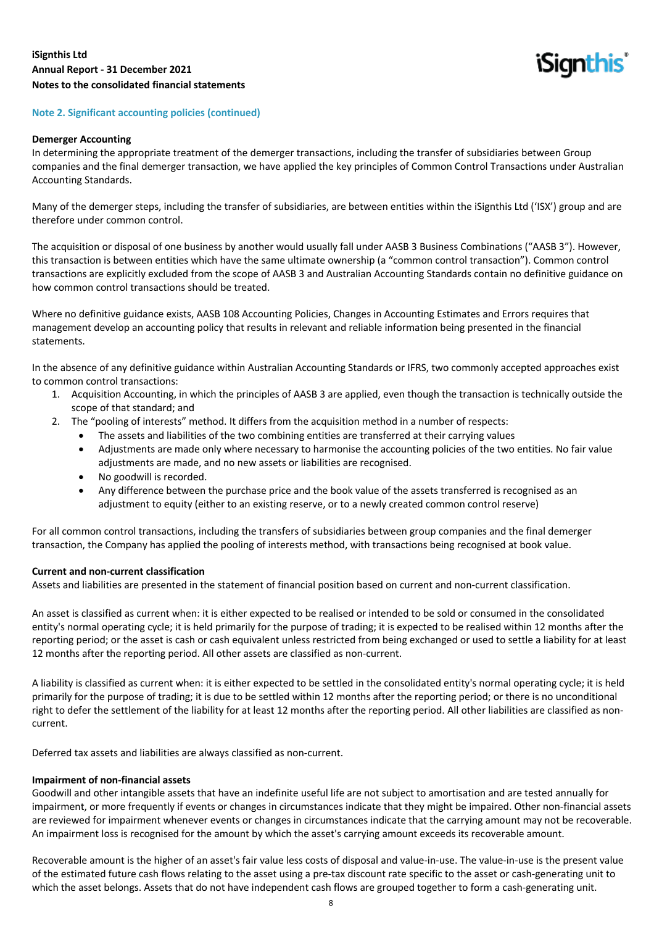**iSignthis** 

#### **Note 2. Significant accounting policies (continued)**

#### **Demerger Accounting**

In determining the appropriate treatment of the demerger transactions, including the transfer of subsidiaries between Group companies and the final demerger transaction, we have applied the key principles of Common Control Transactions under Australian Accounting Standards.

Many of the demerger steps, including the transfer of subsidiaries, are between entities within the iSignthis Ltd ('ISX') group and are therefore under common control.

The acquisition or disposal of one business by another would usually fall under AASB 3 Business Combinations ("AASB 3"). However, this transaction is between entities which have the same ultimate ownership (a "common control transaction"). Common control transactions are explicitly excluded from the scope of AASB 3 and Australian Accounting Standards contain no definitive guidance on how common control transactions should be treated.

Where no definitive guidance exists, AASB 108 Accounting Policies, Changes in Accounting Estimates and Errors requires that management develop an accounting policy that results in relevant and reliable information being presented in the financial statements.

In the absence of any definitive guidance within Australian Accounting Standards or IFRS, two commonly accepted approaches exist to common control transactions:

- 1. Acquisition Accounting, in which the principles of AASB 3 are applied, even though the transaction is technically outside the scope of that standard; and
- 2. The "pooling of interests" method. It differs from the acquisition method in a number of respects:
	- The assets and liabilities of the two combining entities are transferred at their carrying values
	- Adjustments are made only where necessary to harmonise the accounting policies of the two entities. No fair value adjustments are made, and no new assets or liabilities are recognised.
	- No goodwill is recorded.
	- Any difference between the purchase price and the book value of the assets transferred is recognised as an adjustment to equity (either to an existing reserve, or to a newly created common control reserve)

For all common control transactions, including the transfers of subsidiaries between group companies and the final demerger transaction, the Company has applied the pooling of interests method, with transactions being recognised at book value.

#### **Current and non-current classification**

Assets and liabilities are presented in the statement of financial position based on current and non-current classification.

An asset is classified as current when: it is either expected to be realised or intended to be sold or consumed in the consolidated entity's normal operating cycle; it is held primarily for the purpose of trading; it is expected to be realised within 12 months after the reporting period; or the asset is cash or cash equivalent unless restricted from being exchanged or used to settle a liability for at least 12 months after the reporting period. All other assets are classified as non-current.

A liability is classified as current when: it is either expected to be settled in the consolidated entity's normal operating cycle; it is held primarily for the purpose of trading; it is due to be settled within 12 months after the reporting period; or there is no unconditional right to defer the settlement of the liability for at least 12 months after the reporting period. All other liabilities are classified as noncurrent.

Deferred tax assets and liabilities are always classified as non-current.

#### **Impairment of non-financial assets**

Goodwill and other intangible assets that have an indefinite useful life are not subject to amortisation and are tested annually for impairment, or more frequently if events or changes in circumstances indicate that they might be impaired. Other non-financial assets are reviewed for impairment whenever events or changes in circumstances indicate that the carrying amount may not be recoverable. An impairment loss is recognised for the amount by which the asset's carrying amount exceeds its recoverable amount.

Recoverable amount is the higher of an asset's fair value less costs of disposal and value-in-use. The value-in-use is the present value of the estimated future cash flows relating to the asset using a pre-tax discount rate specific to the asset or cash-generating unit to which the asset belongs. Assets that do not have independent cash flows are grouped together to form a cash-generating unit.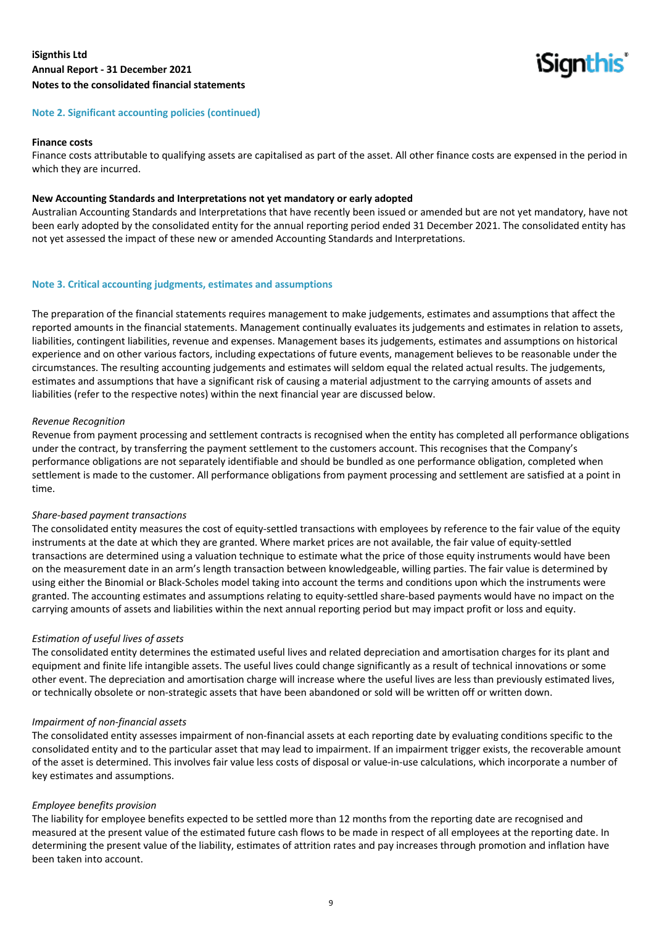**iSignthis** 

#### **Note 2. Significant accounting policies (continued)**

#### **Finance costs**

Finance costs attributable to qualifying assets are capitalised as part of the asset. All other finance costs are expensed in the period in which they are incurred.

#### **New Accounting Standards and Interpretations not yet mandatory or early adopted**

Australian Accounting Standards and Interpretations that have recently been issued or amended but are not yet mandatory, have not been early adopted by the consolidated entity for the annual reporting period ended 31 December 2021. The consolidated entity has not yet assessed the impact of these new or amended Accounting Standards and Interpretations.

#### **Note 3. Critical accounting judgments, estimates and assumptions**

The preparation of the financial statements requires management to make judgements, estimates and assumptions that affect the reported amounts in the financial statements. Management continually evaluates its judgements and estimates in relation to assets, liabilities, contingent liabilities, revenue and expenses. Management bases its judgements, estimates and assumptions on historical experience and on other various factors, including expectations of future events, management believes to be reasonable under the circumstances. The resulting accounting judgements and estimates will seldom equal the related actual results. The judgements, estimates and assumptions that have a significant risk of causing a material adjustment to the carrying amounts of assets and liabilities (refer to the respective notes) within the next financial year are discussed below.

#### *Revenue Recognition*

Revenue from payment processing and settlement contracts is recognised when the entity has completed all performance obligations under the contract, by transferring the payment settlement to the customers account. This recognises that the Company's performance obligations are not separately identifiable and should be bundled as one performance obligation, completed when settlement is made to the customer. All performance obligations from payment processing and settlement are satisfied at a point in time.

#### *Share-based payment transactions*

The consolidated entity measures the cost of equity-settled transactions with employees by reference to the fair value of the equity instruments at the date at which they are granted. Where market prices are not available, the fair value of equity-settled transactions are determined using a valuation technique to estimate what the price of those equity instruments would have been on the measurement date in an arm's length transaction between knowledgeable, willing parties. The fair value is determined by using either the Binomial or Black-Scholes model taking into account the terms and conditions upon which the instruments were granted. The accounting estimates and assumptions relating to equity-settled share-based payments would have no impact on the carrying amounts of assets and liabilities within the next annual reporting period but may impact profit or loss and equity.

#### *Estimation of useful lives of assets*

The consolidated entity determines the estimated useful lives and related depreciation and amortisation charges for its plant and equipment and finite life intangible assets. The useful lives could change significantly as a result of technical innovations or some other event. The depreciation and amortisation charge will increase where the useful lives are less than previously estimated lives, or technically obsolete or non-strategic assets that have been abandoned or sold will be written off or written down.

#### *Impairment of non-financial assets*

The consolidated entity assesses impairment of non-financial assets at each reporting date by evaluating conditions specific to the consolidated entity and to the particular asset that may lead to impairment. If an impairment trigger exists, the recoverable amount of the asset is determined. This involves fair value less costs of disposal or value-in-use calculations, which incorporate a number of key estimates and assumptions.

#### *Employee benefits provision*

The liability for employee benefits expected to be settled more than 12 months from the reporting date are recognised and measured at the present value of the estimated future cash flows to be made in respect of all employees at the reporting date. In determining the present value of the liability, estimates of attrition rates and pay increases through promotion and inflation have been taken into account.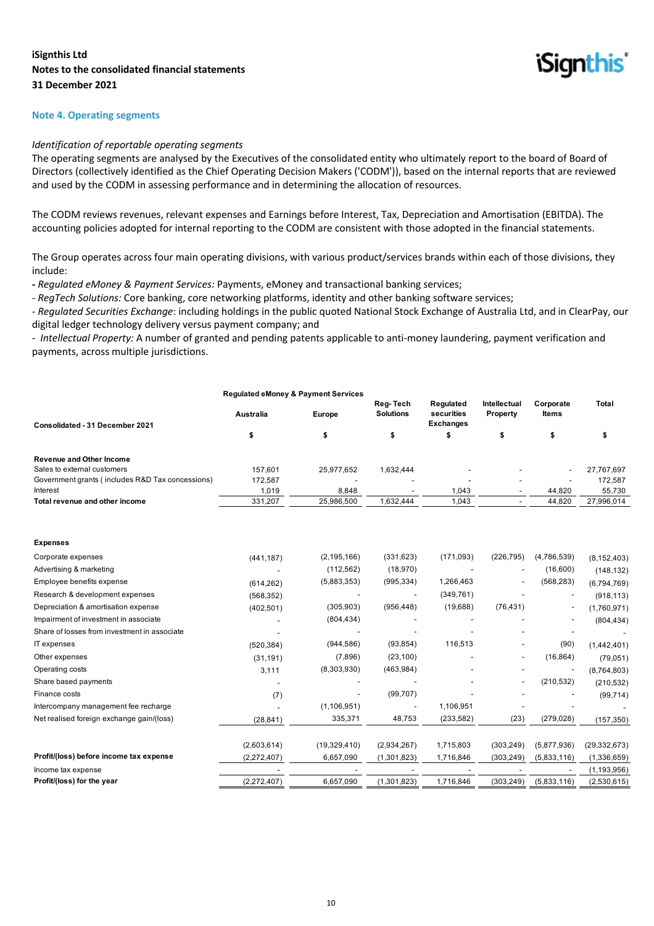**iSignthis** 

#### **Note 4. Operating segments**

#### *Identification of reportable operating segments*

The operating segments are analysed by the Executives of the consolidated entity who ultimately report to the board of Board of Directors (collectively identified as the Chief Operating Decision Makers ('CODM')), based on the internal reports that are reviewed and used by the CODM in assessing performance and in determining the allocation of resources.

The CODM reviews revenues, relevant expenses and Earnings before Interest, Tax, Depreciation and Amortisation (EBITDA). The accounting policies adopted for internal reporting to the CODM are consistent with those adopted in the financial statements.

The Group operates across four main operating divisions, with various product/services brands within each of those divisions, they include:

**-** *Regulated eMoney & Payment Services:* Payments, eMoney and transactional banking services;

- *RegTech Solutions:* Core banking, core networking platforms, identity and other banking software services;

- *Regulated Securities Exchange*: including holdings in the public quoted National Stock Exchange of Australia Ltd, and in ClearPay, our digital ledger technology delivery versus payment company; and

- *Intellectual Property:* A number of granted and pending patents applicable to anti-money laundering, payment verification and payments, across multiple jurisdictions.

|                                                  | <b>Regulated eMoney &amp; Payment Services</b> |                |                              |                                             |                          |                    |                |
|--------------------------------------------------|------------------------------------------------|----------------|------------------------------|---------------------------------------------|--------------------------|--------------------|----------------|
| Consolidated - 31 December 2021                  | <b>Australia</b>                               | <b>Europe</b>  | Reg-Tech<br><b>Solutions</b> | Regulated<br>securities<br><b>Exchanges</b> | Intellectual<br>Property | Corporate<br>Items | <b>Total</b>   |
|                                                  | \$                                             | \$             | \$                           | \$                                          | \$                       | \$                 | \$             |
| <b>Revenue and Other Income</b>                  |                                                |                |                              |                                             |                          |                    |                |
| Sales to external customers                      | 157,601                                        | 25,977,652     | 1,632,444                    |                                             |                          |                    | 27,767,697     |
| Government grants (includes R&D Tax concessions) | 172,587                                        |                |                              |                                             |                          |                    | 172,587        |
| Interest                                         | 1,019                                          | 8,848          |                              | 1,043                                       |                          | 44,820             | 55,730         |
| Total revenue and other income                   | 331,207                                        | 25,986,500     | 1,632,444                    | 1,043                                       |                          | 44,820             | 27,996,014     |
| <b>Expenses</b>                                  |                                                |                |                              |                                             |                          |                    |                |
| Corporate expenses                               | (441, 187)                                     | (2, 195, 166)  | (331, 623)                   | (171, 093)                                  | (226, 795)               | (4,786,539)        | (8, 152, 403)  |
| Advertising & marketing                          |                                                | (112, 562)     | (18, 970)                    |                                             |                          | (16,600)           | (148, 132)     |
| Employee benefits expense                        | (614, 262)                                     | (5,883,353)    | (995, 334)                   | 1,266,463                                   |                          | (568, 283)         | (6,794,769)    |
| Research & development expenses                  | (568, 352)                                     |                |                              | (349, 761)                                  |                          |                    | (918, 113)     |
| Depreciation & amortisation expense              | (402, 501)                                     | (305, 903)     | (956, 448)                   | (19,688)                                    | (76, 431)                |                    | (1,760,971)    |
| Impairment of investment in associate            |                                                | (804, 434)     |                              |                                             |                          |                    | (804, 434)     |
| Share of losses from investment in associate     |                                                |                |                              |                                             |                          |                    |                |
| IT expenses                                      | (520, 384)                                     | (944, 586)     | (93, 854)                    | 116,513                                     |                          | (90)               | (1,442,401)    |
| Other expenses                                   | (31, 191)                                      | (7,896)        | (23, 100)                    |                                             |                          | (16, 864)          | (79,051)       |
| Operating costs                                  | 3,111                                          | (8,303,930)    | (463,984)                    |                                             |                          |                    | (8,764,803)    |
| Share based payments                             |                                                |                |                              |                                             |                          | (210, 532)         | (210, 532)     |
| Finance costs                                    | (7)                                            |                | (99, 707)                    |                                             |                          |                    | (99, 714)      |
| Intercompany management fee recharge             |                                                | (1, 106, 951)  |                              | 1,106,951                                   |                          |                    |                |
| Net realised foreign exchange gain/(loss)        | (28, 841)                                      | 335,371        | 48,753                       | (233, 582)                                  | (23)                     | (279, 028)         | (157, 350)     |
|                                                  | (2,603,614)                                    | (19, 329, 410) | (2,934,267)                  | 1,715,803                                   | (303, 249)               | (5,877,936)        | (29, 332, 673) |
| Profit/(loss) before income tax expense          | (2, 272, 407)                                  | 6,657,090      | (1,301,823)                  | 1,716,846                                   | (303, 249)               | (5,833,116)        | (1,336,659)    |
| Income tax expense                               |                                                |                |                              |                                             |                          |                    | (1, 193, 956)  |
| Profit/(loss) for the year                       | (2,272,407)                                    | 6,657,090      | (1,301,823)                  | 1,716,846                                   | (303, 249)               | (5,833,116)        | (2,530,615)    |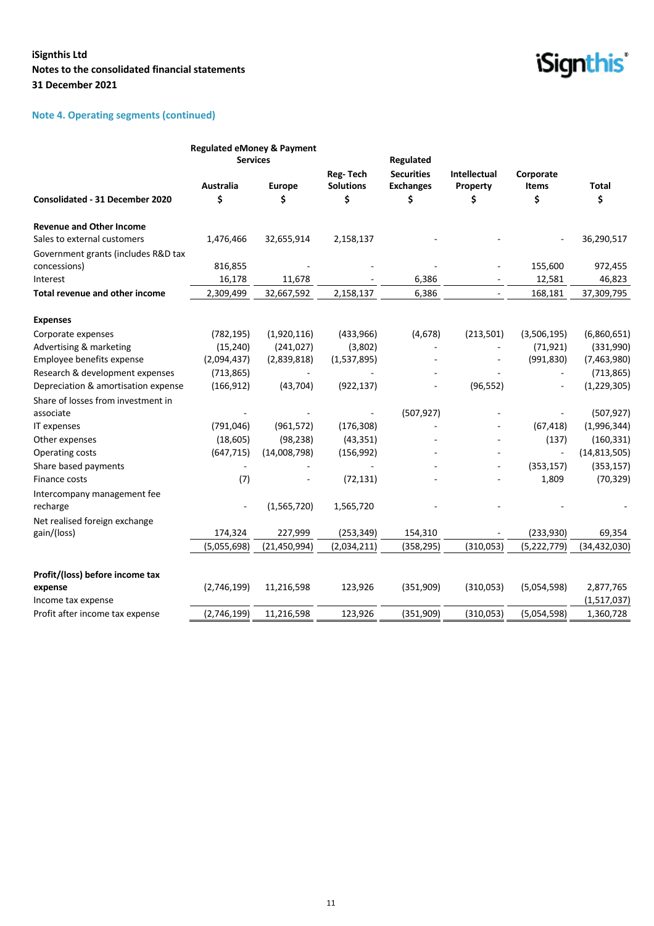## **Note 4. Operating segments (continued)**

|                                        | <b>Regulated eMoney &amp; Payment</b><br><b>Services</b> |                          |                                           | Regulated                                   |                                |                                 |                    |
|----------------------------------------|----------------------------------------------------------|--------------------------|-------------------------------------------|---------------------------------------------|--------------------------------|---------------------------------|--------------------|
| <b>Consolidated - 31 December 2020</b> | <b>Australia</b><br>\$                                   | Europe<br>\$             | <b>Reg-Tech</b><br><b>Solutions</b><br>\$ | <b>Securities</b><br><b>Exchanges</b><br>\$ | Intellectual<br>Property<br>\$ | Corporate<br><b>Items</b><br>\$ | <b>Total</b><br>\$ |
| <b>Revenue and Other Income</b>        |                                                          |                          |                                           |                                             |                                |                                 |                    |
| Sales to external customers            | 1,476,466                                                | 32,655,914               | 2,158,137                                 |                                             |                                |                                 | 36,290,517         |
| Government grants (includes R&D tax    |                                                          |                          |                                           |                                             |                                |                                 |                    |
| concessions)                           | 816,855                                                  |                          |                                           |                                             |                                | 155,600                         | 972,455            |
| Interest                               | 16,178                                                   | 11,678                   |                                           | 6,386                                       |                                | 12,581                          | 46,823             |
| Total revenue and other income         | 2,309,499                                                | 32,667,592               | 2,158,137                                 | 6,386                                       | $\overline{\phantom{a}}$       | 168,181                         | 37,309,795         |
| <b>Expenses</b>                        |                                                          |                          |                                           |                                             |                                |                                 |                    |
| Corporate expenses                     | (782, 195)                                               | (1,920,116)              | (433,966)                                 | (4,678)                                     | (213,501)                      | (3,506,195)                     | (6,860,651)        |
| Advertising & marketing                | (15, 240)                                                | (241, 027)               | (3,802)                                   | $\overline{\phantom{a}}$                    |                                | (71, 921)                       | (331,990)          |
| Employee benefits expense              | (2,094,437)                                              | (2,839,818)              | (1,537,895)                               |                                             |                                | (991, 830)                      | (7,463,980)        |
| Research & development expenses        | (713, 865)                                               | $\overline{\phantom{a}}$ |                                           |                                             |                                |                                 | (713, 865)         |
| Depreciation & amortisation expense    | (166, 912)                                               | (43, 704)                | (922, 137)                                |                                             | (96, 552)                      |                                 | (1, 229, 305)      |
| Share of losses from investment in     |                                                          |                          |                                           |                                             |                                |                                 |                    |
| associate                              |                                                          |                          |                                           | (507, 927)                                  |                                |                                 | (507, 927)         |
| IT expenses                            | (791, 046)                                               | (961, 572)               | (176, 308)                                |                                             |                                | (67, 418)                       | (1,996,344)        |
| Other expenses                         | (18, 605)                                                | (98, 238)                | (43, 351)                                 |                                             |                                | (137)                           | (160, 331)         |
| Operating costs                        | (647, 715)                                               | (14,008,798)             | (156, 992)                                |                                             |                                | $\blacksquare$                  | (14, 813, 505)     |
| Share based payments                   |                                                          |                          |                                           |                                             | ٠                              | (353, 157)                      | (353, 157)         |
| Finance costs                          | (7)                                                      |                          | (72, 131)                                 |                                             |                                | 1,809                           | (70, 329)          |
| Intercompany management fee            |                                                          |                          |                                           |                                             |                                |                                 |                    |
| recharge                               |                                                          | (1,565,720)              | 1,565,720                                 |                                             |                                |                                 |                    |
| Net realised foreign exchange          |                                                          |                          |                                           |                                             |                                |                                 |                    |
| gain/(loss)                            | 174,324                                                  | 227,999                  | (253, 349)                                | 154,310                                     |                                | (233,930)                       | 69,354             |
|                                        | (5,055,698)                                              | (21, 450, 994)           | (2,034,211)                               | (358, 295)                                  | (310, 053)                     | (5, 222, 779)                   | (34, 432, 030)     |
| Profit/(loss) before income tax        |                                                          |                          |                                           |                                             |                                |                                 |                    |
| expense                                | (2,746,199)                                              | 11,216,598               | 123,926                                   | (351,909)                                   | (310,053)                      | (5,054,598)                     | 2,877,765          |
| Income tax expense                     |                                                          |                          |                                           |                                             |                                |                                 | (1,517,037)        |
| Profit after income tax expense        | (2,746,199)                                              | 11,216,598               | 123,926                                   | (351,909)                                   | (310, 053)                     | (5,054,598)                     | 1,360,728          |

## *iSignthis*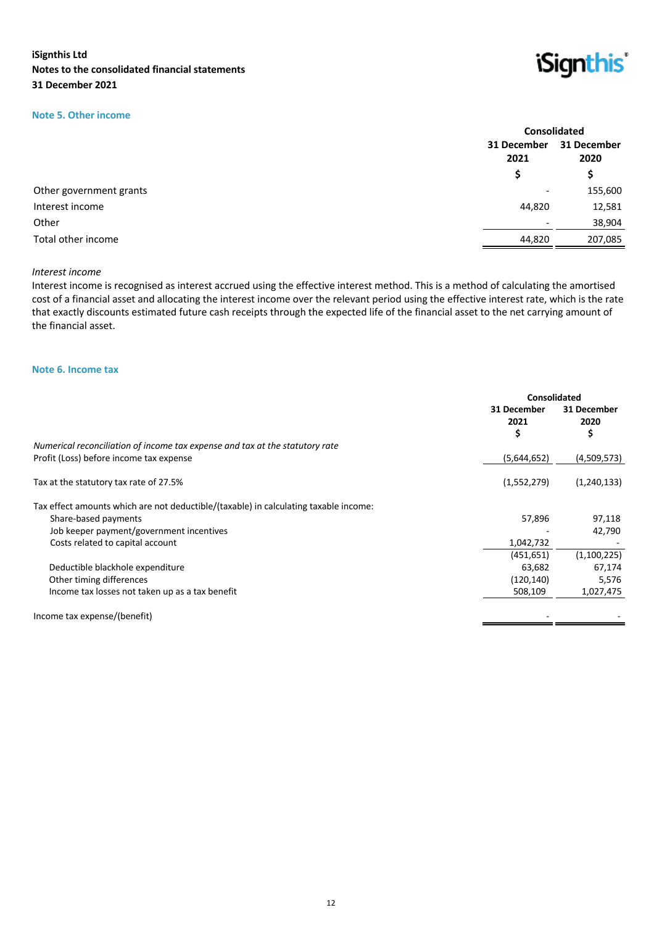## **Note 5. Other income**



| 31 December<br>2021<br>2020<br>\$.<br>S    |  | <b>Consolidated</b> |
|--------------------------------------------|--|---------------------|
|                                            |  | 31 December         |
|                                            |  |                     |
| Other government grants<br>$\qquad \qquad$ |  | 155,600             |
| Interest income<br>44,820                  |  | 12,581              |
| Other                                      |  | 38,904              |
| Total other income<br>44,820               |  | 207,085             |

#### *Interest income*

Interest income is recognised as interest accrued using the effective interest method. This is a method of calculating the amortised cost of a financial asset and allocating the interest income over the relevant period using the effective interest rate, which is the rate that exactly discounts estimated future cash receipts through the expected life of the financial asset to the net carrying amount of the financial asset.

#### **Note 6. Income tax**

|                                                                                      | Consolidated             |                          |
|--------------------------------------------------------------------------------------|--------------------------|--------------------------|
|                                                                                      | 31 December<br>2021<br>S | 31 December<br>2020<br>Ş |
| Numerical reconciliation of income tax expense and tax at the statutory rate         |                          |                          |
| Profit (Loss) before income tax expense                                              | (5,644,652)              | (4,509,573)              |
| Tax at the statutory tax rate of 27.5%                                               | (1,552,279)              | (1,240,133)              |
| Tax effect amounts which are not deductible/(taxable) in calculating taxable income: |                          |                          |
| Share-based payments                                                                 | 57,896                   | 97,118                   |
| Job keeper payment/government incentives                                             |                          | 42,790                   |
| Costs related to capital account                                                     | 1,042,732                |                          |
|                                                                                      | (451, 651)               | (1,100,225)              |
| Deductible blackhole expenditure                                                     | 63,682                   | 67,174                   |
| Other timing differences                                                             | (120, 140)               | 5,576                    |
| Income tax losses not taken up as a tax benefit                                      | 508,109                  | 1,027,475                |
| Income tax expense/(benefit)                                                         |                          |                          |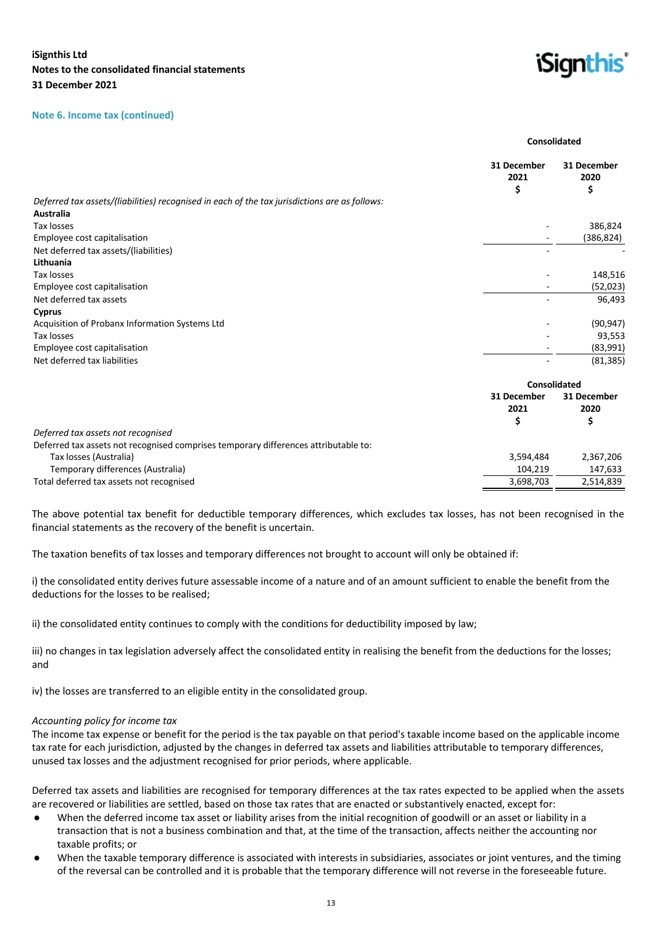#### **Note 6. Income tax (continued)**



**Consolidated**

|                                                                                               | 31 December<br>2021<br>\$ | 31 December<br>2020<br>\$ |
|-----------------------------------------------------------------------------------------------|---------------------------|---------------------------|
| Deferred tax assets/(liabilities) recognised in each of the tax jurisdictions are as follows: |                           |                           |
| Australia                                                                                     |                           |                           |
| Tax losses                                                                                    |                           | 386,824                   |
| Employee cost capitalisation                                                                  |                           | (386, 824)                |
| Net deferred tax assets/(liabilities)                                                         |                           |                           |
| Lithuania                                                                                     |                           |                           |
| Tax losses                                                                                    |                           | 148,516                   |
| Employee cost capitalisation                                                                  |                           | (52,023)                  |
| Net deferred tax assets                                                                       |                           | 96,493                    |
| <b>Cyprus</b>                                                                                 |                           |                           |
| Acquisition of Probanx Information Systems Ltd                                                |                           | (90, 947)                 |
| Tax losses                                                                                    |                           | 93,553                    |
| Employee cost capitalisation                                                                  |                           | (83,991)                  |
| Net deferred tax liabilities                                                                  |                           | (81, 385)                 |
|                                                                                               | <b>Consolidated</b>       |                           |
|                                                                                               | 31 December               | 31 December               |
|                                                                                               | 2021                      | 2020                      |
|                                                                                               | \$                        | \$                        |
| Deferred tax assets not recognised                                                            |                           |                           |
| Deferred tax assets not recognised comprises temporary differences attributable to:           |                           |                           |
| Tax losses (Australia)                                                                        | 3,594,484                 | 2,367,206                 |
| Temporary differences (Australia)                                                             | 104,219                   | 147,633                   |
| Total deferred tax assets not recognised                                                      | 3,698,703                 | 2,514,839                 |

The above potential tax benefit for deductible temporary differences, which excludes tax losses, has not been recognised in the financial statements as the recovery of the benefit is uncertain.

The taxation benefits of tax losses and temporary differences not brought to account will only be obtained if:

i) the consolidated entity derives future assessable income of a nature and of an amount sufficient to enable the benefit from the deductions for the losses to be realised;

ii) the consolidated entity continues to comply with the conditions for deductibility imposed by law;

iii) no changes in tax legislation adversely affect the consolidated entity in realising the benefit from the deductions for the losses; and

iv) the losses are transferred to an eligible entity in the consolidated group.

#### *Accounting policy for income tax*

The income tax expense or benefit for the period is the tax payable on that period's taxable income based on the applicable income tax rate for each jurisdiction, adjusted by the changes in deferred tax assets and liabilities attributable to temporary differences, unused tax losses and the adjustment recognised for prior periods, where applicable.

Deferred tax assets and liabilities are recognised for temporary differences at the tax rates expected to be applied when the assets are recovered or liabilities are settled, based on those tax rates that are enacted or substantively enacted, except for:

- When the deferred income tax asset or liability arises from the initial recognition of goodwill or an asset or liability in a transaction that is not a business combination and that, at the time of the transaction, affects neither the accounting nor taxable profits; or
- When the taxable temporary difference is associated with interests in subsidiaries, associates or joint ventures, and the timing of the reversal can be controlled and it is probable that the temporary difference will not reverse in the foreseeable future.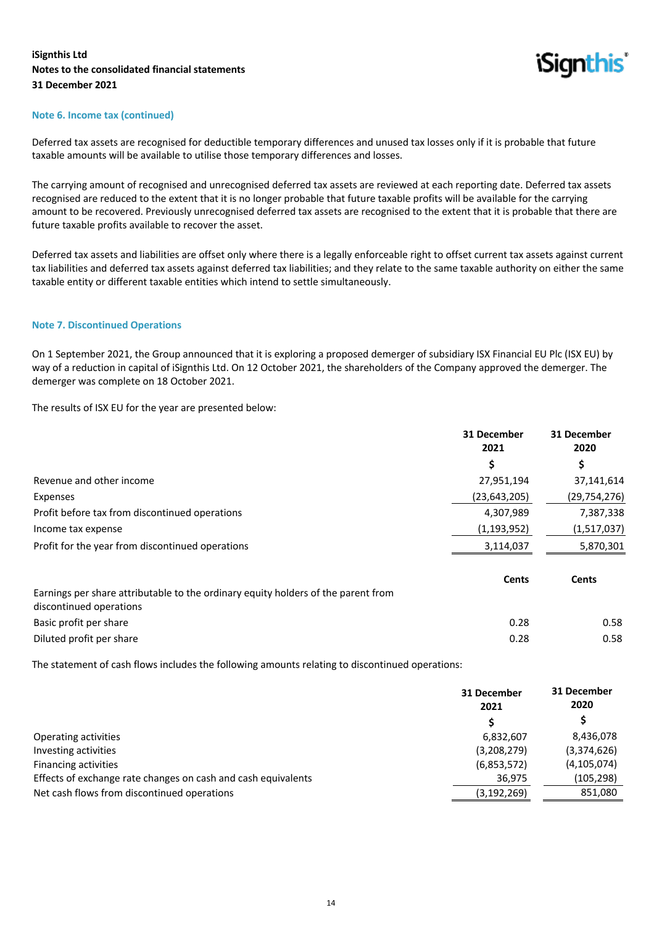

#### **Note 6. Income tax (continued)**

Deferred tax assets are recognised for deductible temporary differences and unused tax losses only if it is probable that future taxable amounts will be available to utilise those temporary differences and losses.

The carrying amount of recognised and unrecognised deferred tax assets are reviewed at each reporting date. Deferred tax assets recognised are reduced to the extent that it is no longer probable that future taxable profits will be available for the carrying amount to be recovered. Previously unrecognised deferred tax assets are recognised to the extent that it is probable that there are future taxable profits available to recover the asset.

Deferred tax assets and liabilities are offset only where there is a legally enforceable right to offset current tax assets against current tax liabilities and deferred tax assets against deferred tax liabilities; and they relate to the same taxable authority on either the same taxable entity or different taxable entities which intend to settle simultaneously.

#### **Note 7. Discontinued Operations**

On 1 September 2021, the Group announced that it is exploring a proposed demerger of subsidiary ISX Financial EU Plc (ISX EU) by way of a reduction in capital of iSignthis Ltd. On 12 October 2021, the shareholders of the Company approved the demerger. The demerger was complete on 18 October 2021.

The results of ISX EU for the year are presented below:

|                                                                                   | 31 December<br>2021 | 31 December<br>2020 |
|-----------------------------------------------------------------------------------|---------------------|---------------------|
|                                                                                   | \$                  | \$                  |
| Revenue and other income                                                          | 27,951,194          | 37,141,614          |
| Expenses                                                                          | (23, 643, 205)      | (29, 754, 276)      |
| Profit before tax from discontinued operations                                    | 4,307,989           | 7,387,338           |
| Income tax expense                                                                | (1, 193, 952)       | (1,517,037)         |
| Profit for the year from discontinued operations                                  | 3,114,037           | 5,870,301           |
| Earnings per share attributable to the ordinary equity holders of the parent from | <b>Cents</b>        | <b>Cents</b>        |
| discontinued operations                                                           |                     |                     |
| Basic profit per share                                                            | 0.28                | 0.58                |
| Diluted profit per share                                                          | 0.28                | 0.58                |

The statement of cash flows includes the following amounts relating to discontinued operations:

|                                                               | 31 December<br>2021<br>S | 31 December<br>2020 |
|---------------------------------------------------------------|--------------------------|---------------------|
|                                                               |                          |                     |
| Operating activities                                          | 6,832,607                | 8,436,078           |
| Investing activities                                          | (3,208,279)              | (3,374,626)         |
| Financing activities                                          | (6,853,572)              | (4, 105, 074)       |
| Effects of exchange rate changes on cash and cash equivalents | 36,975                   | (105, 298)          |
| Net cash flows from discontinued operations                   | (3, 192, 269)            | 851,080             |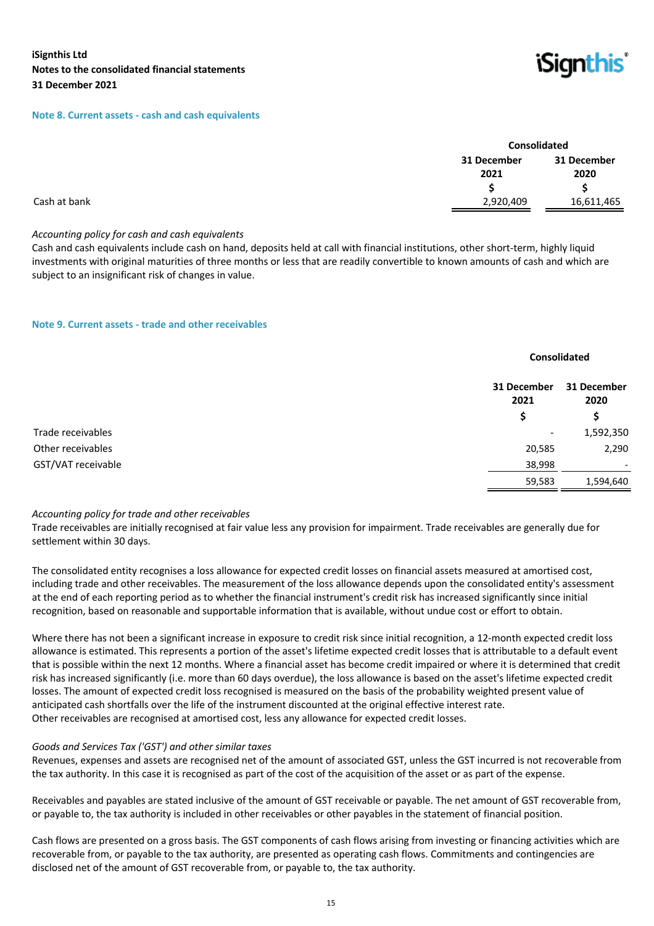#### **Note 8. Current assets - cash and cash equivalents**



|              |                     | Consolidated        |  |
|--------------|---------------------|---------------------|--|
|              | 31 December<br>2021 | 31 December<br>2020 |  |
|              |                     | S                   |  |
| Cash at bank | 2,920,409           | 16,611,465          |  |

#### *Accounting policy for cash and cash equivalents*

Cash and cash equivalents include cash on hand, deposits held at call with financial institutions, other short-term, highly liquid investments with original maturities of three months or less that are readily convertible to known amounts of cash and which are subject to an insignificant risk of changes in value.

#### **Note 9. Current assets - trade and other receivables**

|                    |                     | <b>Consolidated</b>      |  |
|--------------------|---------------------|--------------------------|--|
|                    | 31 December<br>2021 | 31 December<br>2020      |  |
|                    | \$                  | \$                       |  |
| Trade receivables  | ۰.                  | 1,592,350                |  |
| Other receivables  | 20,585              | 2,290                    |  |
| GST/VAT receivable | 38,998              | $\overline{\phantom{a}}$ |  |
|                    | 59,583              | 1,594,640                |  |

#### *Accounting policy for trade and other receivables*

Trade receivables are initially recognised at fair value less any provision for impairment. Trade receivables are generally due for settlement within 30 days.

The consolidated entity recognises a loss allowance for expected credit losses on financial assets measured at amortised cost, including trade and other receivables. The measurement of the loss allowance depends upon the consolidated entity's assessment at the end of each reporting period as to whether the financial instrument's credit risk has increased significantly since initial recognition, based on reasonable and supportable information that is available, without undue cost or effort to obtain.

Where there has not been a significant increase in exposure to credit risk since initial recognition, a 12-month expected credit loss allowance is estimated. This represents a portion of the asset's lifetime expected credit losses that is attributable to a default event that is possible within the next 12 months. Where a financial asset has become credit impaired or where it is determined that credit risk has increased significantly (i.e. more than 60 days overdue), the loss allowance is based on the asset's lifetime expected credit losses. The amount of expected credit loss recognised is measured on the basis of the probability weighted present value of anticipated cash shortfalls over the life of the instrument discounted at the original effective interest rate. Other receivables are recognised at amortised cost, less any allowance for expected credit losses.

#### *Goods and Services Tax ('GST') and other similar taxes*

Revenues, expenses and assets are recognised net of the amount of associated GST, unless the GST incurred is not recoverable from the tax authority. In this case it is recognised as part of the cost of the acquisition of the asset or as part of the expense.

Receivables and payables are stated inclusive of the amount of GST receivable or payable. The net amount of GST recoverable from, or payable to, the tax authority is included in other receivables or other payables in the statement of financial position.

Cash flows are presented on a gross basis. The GST components of cash flows arising from investing or financing activities which are recoverable from, or payable to the tax authority, are presented as operating cash flows. Commitments and contingencies are disclosed net of the amount of GST recoverable from, or payable to, the tax authority.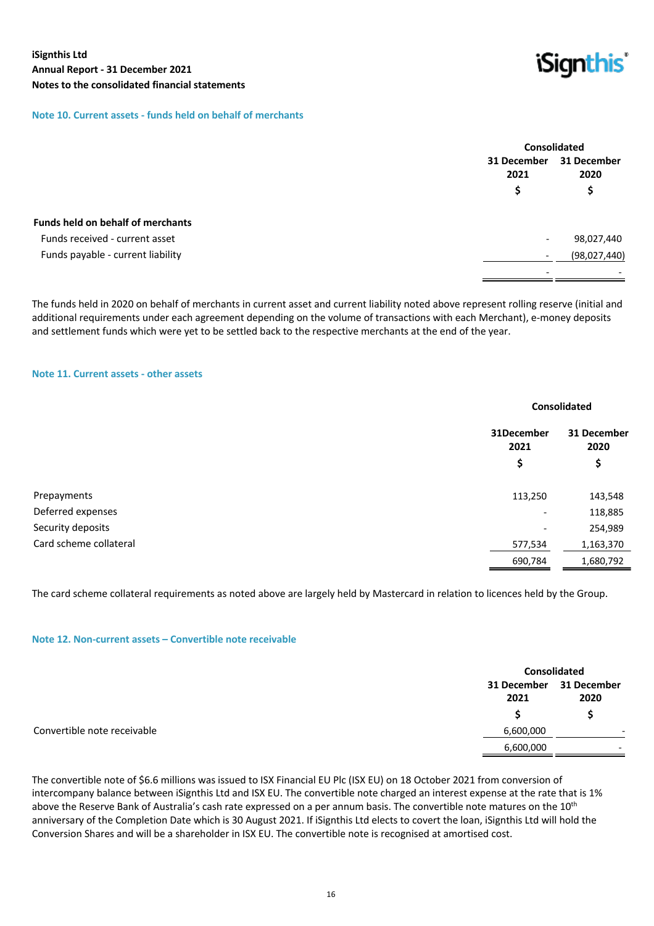

## **Note 10. Current assets - funds held on behalf of merchants**

|                                          | <b>Consolidated</b>      |                     |
|------------------------------------------|--------------------------|---------------------|
|                                          | 31 December<br>2021      | 31 December<br>2020 |
|                                          | S                        | Ş                   |
| <b>Funds held on behalf of merchants</b> |                          |                     |
| Funds received - current asset           | $\overline{\phantom{a}}$ | 98,027,440          |
| Funds payable - current liability        |                          | (98,027,440)        |
|                                          |                          |                     |

The funds held in 2020 on behalf of merchants in current asset and current liability noted above represent rolling reserve (initial and additional requirements under each agreement depending on the volume of transactions with each Merchant), e-money deposits and settlement funds which were yet to be settled back to the respective merchants at the end of the year.

#### **Note 11. Current assets - other assets**

|                        |                          | <b>Consolidated</b> |  |
|------------------------|--------------------------|---------------------|--|
|                        | 31December<br>2021       | 31 December<br>2020 |  |
|                        | \$                       | \$                  |  |
| Prepayments            | 113,250                  | 143,548             |  |
| Deferred expenses      | -                        | 118,885             |  |
| Security deposits      | $\overline{\phantom{a}}$ | 254,989             |  |
| Card scheme collateral | 577,534                  | 1,163,370           |  |
|                        | 690,784                  | 1,680,792           |  |

The card scheme collateral requirements as noted above are largely held by Mastercard in relation to licences held by the Group.

#### **Note 12. Non-current assets – Convertible note receivable**

|                             |           | <b>Consolidated</b>             |  |
|-----------------------------|-----------|---------------------------------|--|
|                             | 2021      | 31 December 31 December<br>2020 |  |
| Convertible note receivable | 6,600,000 |                                 |  |
|                             | 6,600,000 | $\overline{\phantom{0}}$        |  |

The convertible note of \$6.6 millions was issued to ISX Financial EU Plc (ISX EU) on 18 October 2021 from conversion of intercompany balance between iSignthis Ltd and ISX EU. The convertible note charged an interest expense at the rate that is 1% above the Reserve Bank of Australia's cash rate expressed on a per annum basis. The convertible note matures on the 10<sup>th</sup> anniversary of the Completion Date which is 30 August 2021. If iSignthis Ltd elects to covert the loan, iSignthis Ltd will hold the Conversion Shares and will be a shareholder in ISX EU. The convertible note is recognised at amortised cost.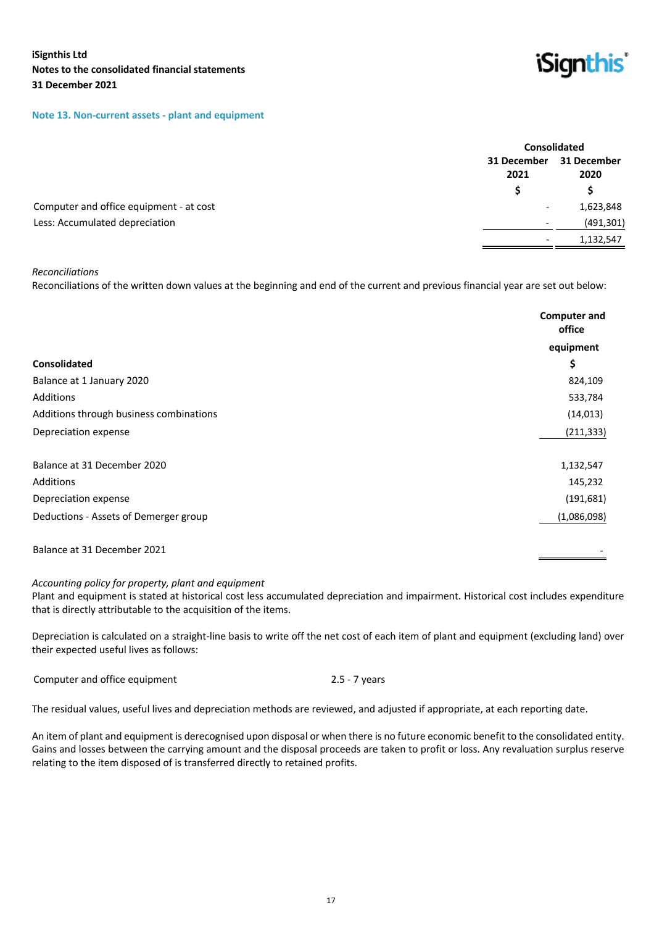#### **Note 13. Non-current assets - plant and equipment**



|                                         |                          | <b>Consolidated</b> |  |
|-----------------------------------------|--------------------------|---------------------|--|
|                                         | 31 December<br>2021      | 31 December<br>2020 |  |
|                                         |                          |                     |  |
| Computer and office equipment - at cost | $\overline{\phantom{a}}$ | 1,623,848           |  |
| Less: Accumulated depreciation          | $\overline{\phantom{0}}$ | (491, 301)          |  |
|                                         | $\overline{\phantom{a}}$ | 1,132,547           |  |

## *Reconciliations*

Reconciliations of the written down values at the beginning and end of the current and previous financial year are set out below:

|                                         | <b>Computer and</b><br>office |
|-----------------------------------------|-------------------------------|
|                                         | equipment                     |
| <b>Consolidated</b>                     | \$                            |
| Balance at 1 January 2020               | 824,109                       |
| Additions                               | 533,784                       |
| Additions through business combinations | (14, 013)                     |
| Depreciation expense                    | (211, 333)                    |
| Balance at 31 December 2020             | 1,132,547                     |
| Additions                               | 145,232                       |
| Depreciation expense                    | (191, 681)                    |
| Deductions - Assets of Demerger group   | (1,086,098)                   |
| Balance at 31 December 2021             |                               |

#### *Accounting policy for property, plant and equipment*

Plant and equipment is stated at historical cost less accumulated depreciation and impairment. Historical cost includes expenditure that is directly attributable to the acquisition of the items.

Depreciation is calculated on a straight-line basis to write off the net cost of each item of plant and equipment (excluding land) over their expected useful lives as follows:

Computer and office equipment 2.5 - 7 years

The residual values, useful lives and depreciation methods are reviewed, and adjusted if appropriate, at each reporting date.

An item of plant and equipment is derecognised upon disposal or when there is no future economic benefit to the consolidated entity. Gains and losses between the carrying amount and the disposal proceeds are taken to profit or loss. Any revaluation surplus reserve relating to the item disposed of is transferred directly to retained profits.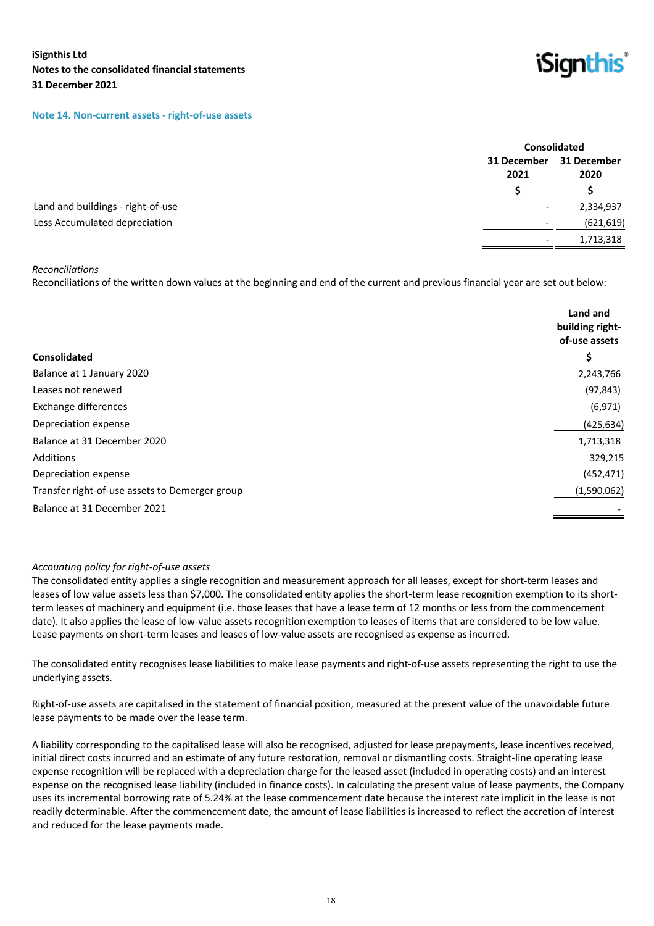#### **Note 14. Non-current assets - right-of-use assets**



|                                   |                          | <b>Consolidated</b>                   |  |
|-----------------------------------|--------------------------|---------------------------------------|--|
|                                   | 31 December<br>2021      | 31 December<br>2020                   |  |
|                                   |                          |                                       |  |
| Land and buildings - right-of-use |                          | 2,334,937<br>$\overline{\phantom{a}}$ |  |
| Less Accumulated depreciation     | $\overline{\phantom{a}}$ | (621, 619)                            |  |
|                                   | $\overline{\phantom{0}}$ | 1,713,318                             |  |

#### *Reconciliations*

Reconciliations of the written down values at the beginning and end of the current and previous financial year are set out below:

| <b>Consolidated</b>                            | Land and<br>building right-<br>of-use assets<br>\$ |
|------------------------------------------------|----------------------------------------------------|
| Balance at 1 January 2020                      | 2,243,766                                          |
| Leases not renewed                             | (97, 843)                                          |
| Exchange differences                           | (6, 971)                                           |
| Depreciation expense                           | (425, 634)                                         |
| Balance at 31 December 2020                    | 1,713,318                                          |
| Additions                                      | 329,215                                            |
| Depreciation expense                           | (452, 471)                                         |
| Transfer right-of-use assets to Demerger group | (1,590,062)                                        |
| Balance at 31 December 2021                    |                                                    |

#### *Accounting policy for right-of-use assets*

The consolidated entity applies a single recognition and measurement approach for all leases, except for short-term leases and leases of low value assets less than \$7,000. The consolidated entity applies the short-term lease recognition exemption to its shortterm leases of machinery and equipment (i.e. those leases that have a lease term of 12 months or less from the commencement date). It also applies the lease of low-value assets recognition exemption to leases of items that are considered to be low value. Lease payments on short-term leases and leases of low-value assets are recognised as expense as incurred.

The consolidated entity recognises lease liabilities to make lease payments and right-of-use assets representing the right to use the underlying assets.

Right-of-use assets are capitalised in the statement of financial position, measured at the present value of the unavoidable future lease payments to be made over the lease term.

A liability corresponding to the capitalised lease will also be recognised, adjusted for lease prepayments, lease incentives received, initial direct costs incurred and an estimate of any future restoration, removal or dismantling costs. Straight-line operating lease expense recognition will be replaced with a depreciation charge for the leased asset (included in operating costs) and an interest expense on the recognised lease liability (included in finance costs). In calculating the present value of lease payments, the Company uses its incremental borrowing rate of 5.24% at the lease commencement date because the interest rate implicit in the lease is not readily determinable. After the commencement date, the amount of lease liabilities is increased to reflect the accretion of interest and reduced for the lease payments made.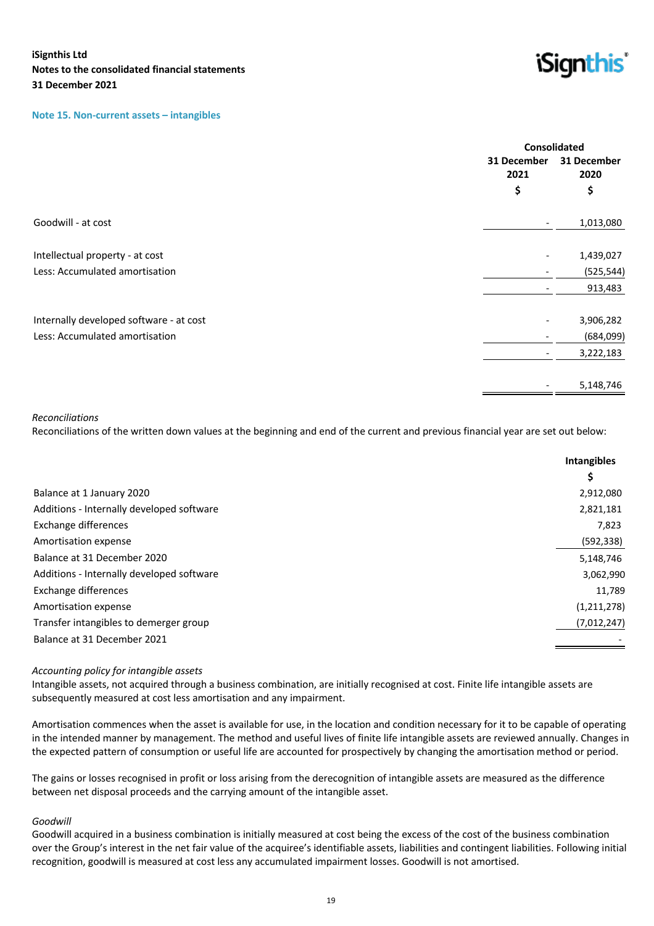#### **Note 15. Non-current assets – intangibles**



|                                         |                          | <b>Consolidated</b> |  |
|-----------------------------------------|--------------------------|---------------------|--|
|                                         | 31 December<br>2021      | 31 December<br>2020 |  |
|                                         | \$                       | \$                  |  |
| Goodwill - at cost                      | $\overline{\phantom{a}}$ | 1,013,080           |  |
| Intellectual property - at cost         |                          | 1,439,027           |  |
| Less: Accumulated amortisation          |                          | (525, 544)          |  |
|                                         |                          | 913,483             |  |
| Internally developed software - at cost |                          | 3,906,282           |  |
| Less: Accumulated amortisation          |                          | (684,099)           |  |
|                                         | $\overline{\phantom{a}}$ | 3,222,183           |  |
|                                         |                          | 5,148,746           |  |
|                                         |                          |                     |  |

#### *Reconciliations*

Reconciliations of the written down values at the beginning and end of the current and previous financial year are set out below:

|                                           | <b>Intangibles</b><br>\$. |
|-------------------------------------------|---------------------------|
| Balance at 1 January 2020                 | 2,912,080                 |
| Additions - Internally developed software | 2,821,181                 |
| Exchange differences                      | 7,823                     |
| Amortisation expense                      | (592, 338)                |
| Balance at 31 December 2020               | 5,148,746                 |
| Additions - Internally developed software | 3,062,990                 |
| Exchange differences                      | 11,789                    |
| Amortisation expense                      | (1, 211, 278)             |
| Transfer intangibles to demerger group    | (7,012,247)               |
| Balance at 31 December 2021               |                           |
|                                           |                           |

#### *Accounting policy for intangible assets*

Intangible assets, not acquired through a business combination, are initially recognised at cost. Finite life intangible assets are subsequently measured at cost less amortisation and any impairment.

Amortisation commences when the asset is available for use, in the location and condition necessary for it to be capable of operating in the intended manner by management. The method and useful lives of finite life intangible assets are reviewed annually. Changes in the expected pattern of consumption or useful life are accounted for prospectively by changing the amortisation method or period.

The gains or losses recognised in profit or loss arising from the derecognition of intangible assets are measured as the difference between net disposal proceeds and the carrying amount of the intangible asset.

#### *Goodwill*

Goodwill acquired in a business combination is initially measured at cost being the excess of the cost of the business combination over the Group's interest in the net fair value of the acquiree's identifiable assets, liabilities and contingent liabilities. Following initial recognition, goodwill is measured at cost less any accumulated impairment losses. Goodwill is not amortised.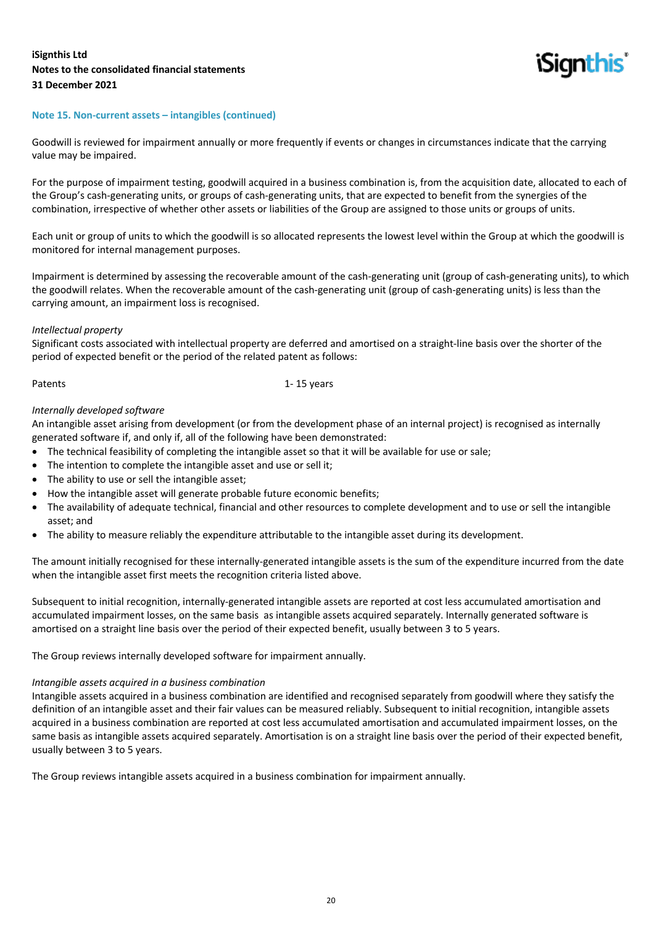

#### **Note 15. Non-current assets – intangibles (continued)**

Goodwill is reviewed for impairment annually or more frequently if events or changes in circumstances indicate that the carrying value may be impaired.

For the purpose of impairment testing, goodwill acquired in a business combination is, from the acquisition date, allocated to each of the Group's cash-generating units, or groups of cash-generating units, that are expected to benefit from the synergies of the combination, irrespective of whether other assets or liabilities of the Group are assigned to those units or groups of units.

Each unit or group of units to which the goodwill is so allocated represents the lowest level within the Group at which the goodwill is monitored for internal management purposes.

Impairment is determined by assessing the recoverable amount of the cash-generating unit (group of cash-generating units), to which the goodwill relates. When the recoverable amount of the cash-generating unit (group of cash-generating units) is less than the carrying amount, an impairment loss is recognised.

#### *Intellectual property*

Significant costs associated with intellectual property are deferred and amortised on a straight-line basis over the shorter of the period of expected benefit or the period of the related patent as follows:

Patents 1-15 years

#### *Internally developed software*

An intangible asset arising from development (or from the development phase of an internal project) is recognised as internally generated software if, and only if, all of the following have been demonstrated:

- The technical feasibility of completing the intangible asset so that it will be available for use or sale;
- The intention to complete the intangible asset and use or sell it;
- The ability to use or sell the intangible asset;
- How the intangible asset will generate probable future economic benefits;
- The availability of adequate technical, financial and other resources to complete development and to use or sell the intangible asset; and
- The ability to measure reliably the expenditure attributable to the intangible asset during its development.

The amount initially recognised for these internally-generated intangible assets is the sum of the expenditure incurred from the date when the intangible asset first meets the recognition criteria listed above.

Subsequent to initial recognition, internally-generated intangible assets are reported at cost less accumulated amortisation and accumulated impairment losses, on the same basis as intangible assets acquired separately. Internally generated software is amortised on a straight line basis over the period of their expected benefit, usually between 3 to 5 years.

The Group reviews internally developed software for impairment annually.

#### *Intangible assets acquired in a business combination*

Intangible assets acquired in a business combination are identified and recognised separately from goodwill where they satisfy the definition of an intangible asset and their fair values can be measured reliably. Subsequent to initial recognition, intangible assets acquired in a business combination are reported at cost less accumulated amortisation and accumulated impairment losses, on the same basis as intangible assets acquired separately. Amortisation is on a straight line basis over the period of their expected benefit, usually between 3 to 5 years.

The Group reviews intangible assets acquired in a business combination for impairment annually.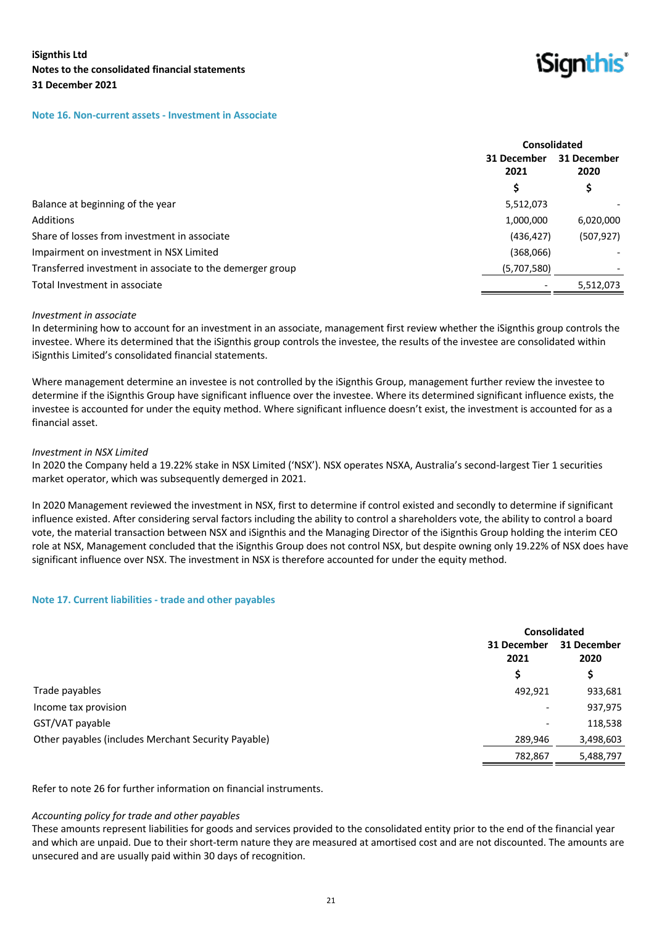

#### **Note 16. Non-current assets - Investment in Associate**

|                                                           |                     | Consolidated        |  |
|-----------------------------------------------------------|---------------------|---------------------|--|
|                                                           | 31 December<br>2021 | 31 December<br>2020 |  |
|                                                           |                     | \$                  |  |
| Balance at beginning of the year                          | 5,512,073           |                     |  |
| Additions                                                 | 1,000,000           | 6,020,000           |  |
| Share of losses from investment in associate              | (436, 427)          | (507, 927)          |  |
| Impairment on investment in NSX Limited                   | (368,066)           |                     |  |
| Transferred investment in associate to the demerger group | (5,707,580)         |                     |  |
| Total Investment in associate                             |                     | 5,512,073           |  |
|                                                           |                     |                     |  |

#### *Investment in associate*

In determining how to account for an investment in an associate, management first review whether the iSignthis group controls the investee. Where its determined that the iSignthis group controls the investee, the results of the investee are consolidated within iSignthis Limited's consolidated financial statements.

Where management determine an investee is not controlled by the iSignthis Group, management further review the investee to determine if the iSignthis Group have significant influence over the investee. Where its determined significant influence exists, the investee is accounted for under the equity method. Where significant influence doesn't exist, the investment is accounted for as a financial asset.

#### *Investment in NSX Limited*

In 2020 the Company held a 19.22% stake in NSX Limited ('NSX'). NSX operates NSXA, Australia's second-largest Tier 1 securities market operator, which was subsequently demerged in 2021.

In 2020 Management reviewed the investment in NSX, first to determine if control existed and secondly to determine if significant influence existed. After considering serval factors including the ability to control a shareholders vote, the ability to control a board vote, the material transaction between NSX and iSignthis and the Managing Director of the iSignthis Group holding the interim CEO role at NSX, Management concluded that the iSignthis Group does not control NSX, but despite owning only 19.22% of NSX does have significant influence over NSX. The investment in NSX is therefore accounted for under the equity method.

#### **Note 17. Current liabilities - trade and other payables**

|                                                     |                          | <b>Consolidated</b> |  |
|-----------------------------------------------------|--------------------------|---------------------|--|
|                                                     | 31 December<br>2021      | 31 December<br>2020 |  |
|                                                     | S                        | \$                  |  |
| Trade payables                                      | 492,921                  | 933,681             |  |
| Income tax provision                                | $\overline{\phantom{a}}$ | 937,975             |  |
| GST/VAT payable                                     | $\overline{\phantom{a}}$ | 118,538             |  |
| Other payables (includes Merchant Security Payable) | 289,946                  | 3,498,603           |  |
|                                                     | 782,867                  | 5,488,797           |  |

Refer to note 26 for further information on financial instruments.

#### *Accounting policy for trade and other payables*

These amounts represent liabilities for goods and services provided to the consolidated entity prior to the end of the financial year and which are unpaid. Due to their short-term nature they are measured at amortised cost and are not discounted. The amounts are unsecured and are usually paid within 30 days of recognition.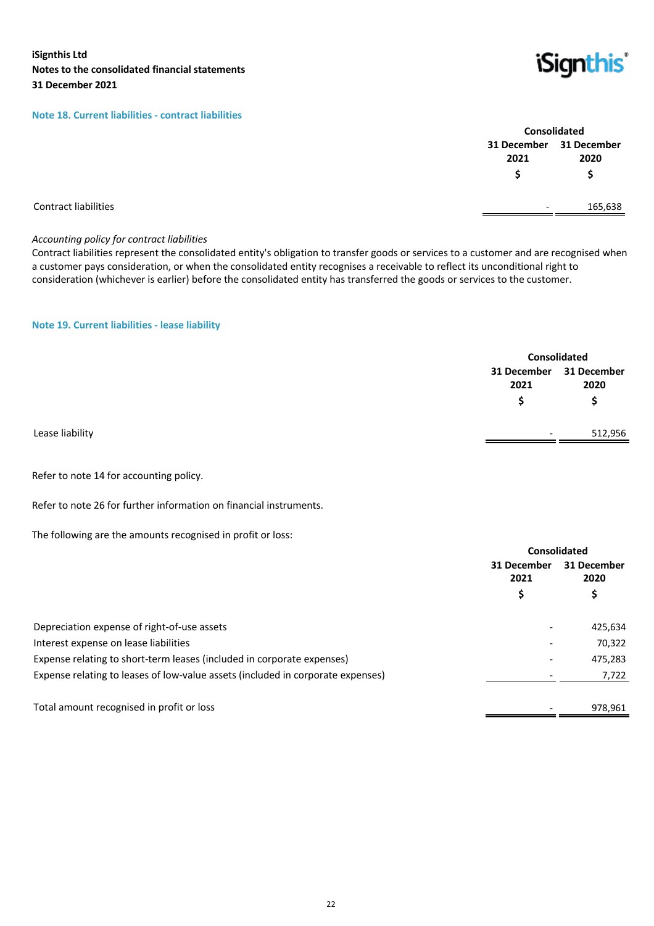#### **Note 18. Current liabilities - contract liabilities**

| Consolidated |                         |  |  |
|--------------|-------------------------|--|--|
|              | 31 December 31 December |  |  |
| 2021         | 2020                    |  |  |
| Ś            | Ś                       |  |  |
|              | 165.638                 |  |  |

*iSignthis* 

#### Contract liabilities

#### *Accounting policy for contract liabilities*

Contract liabilities represent the consolidated entity's obligation to transfer goods or services to a customer and are recognised when a customer pays consideration, or when the consolidated entity recognises a receivable to reflect its unconditional right to consideration (whichever is earlier) before the consolidated entity has transferred the goods or services to the customer.

**Note 19. Current liabilities - lease liability**

|                 |                                 | Consolidated |  |
|-----------------|---------------------------------|--------------|--|
|                 | 31 December 31 December<br>2021 | 2020         |  |
|                 | S                               | S            |  |
| Lease liability | $\overline{\phantom{0}}$        | 512,956      |  |
|                 |                                 |              |  |

Refer to note 14 for accounting policy.

Refer to note 26 for further information on financial instruments.

The following are the amounts recognised in profit or loss:

|                                                                                 |                          | Consolidated             |  |
|---------------------------------------------------------------------------------|--------------------------|--------------------------|--|
|                                                                                 | 31 December<br>2021      | 31 December<br>2020<br>Ş |  |
|                                                                                 | \$                       |                          |  |
| Depreciation expense of right-of-use assets                                     |                          | 425,634                  |  |
| Interest expense on lease liabilities                                           |                          | 70,322                   |  |
| Expense relating to short-term leases (included in corporate expenses)          | $\overline{\phantom{0}}$ | 475,283                  |  |
| Expense relating to leases of low-value assets (included in corporate expenses) |                          | 7,722                    |  |
| Total amount recognised in profit or loss                                       |                          | 978.961                  |  |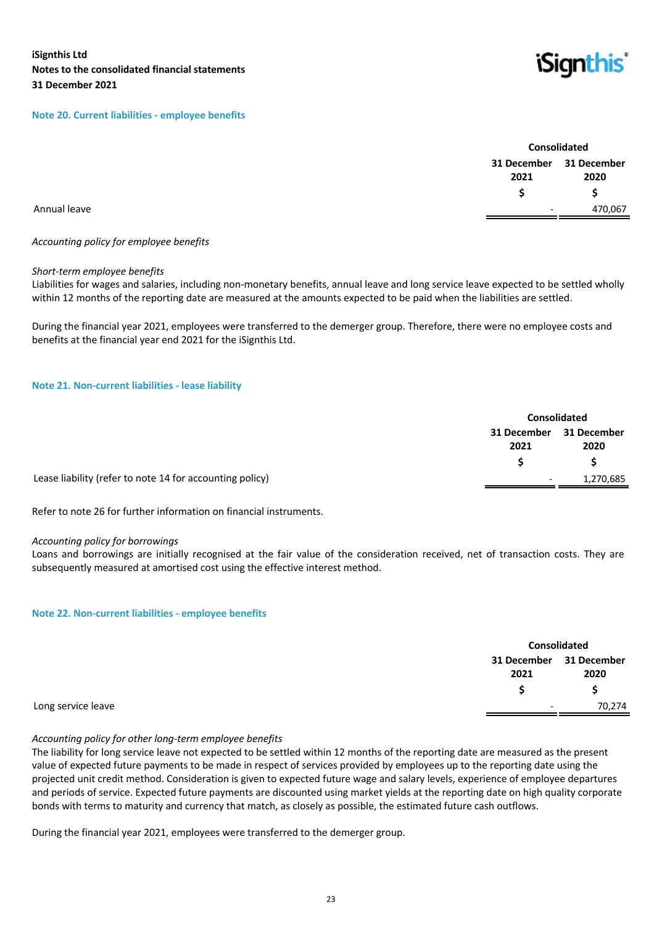#### **Note 20. Current liabilities - employee benefits**



|              | Consolidated             |                         |
|--------------|--------------------------|-------------------------|
|              |                          | 31 December 31 December |
|              | 2021                     | 2020                    |
|              |                          |                         |
| Annual leave | $\overline{\phantom{a}}$ | 470,067                 |
|              |                          |                         |

## *Accounting policy for employee benefits*

#### *Short-term employee benefits*

Liabilities for wages and salaries, including non-monetary benefits, annual leave and long service leave expected to be settled wholly within 12 months of the reporting date are measured at the amounts expected to be paid when the liabilities are settled.

During the financial year 2021, employees were transferred to the demerger group. Therefore, there were no employee costs and benefits at the financial year end 2021 for the iSignthis Ltd.

#### **Note 21. Non-current liabilities - lease liability**

|                                                          | <b>Consolidated</b>      |             |
|----------------------------------------------------------|--------------------------|-------------|
|                                                          | 31 December              | 31 December |
|                                                          | 2021                     | 2020        |
|                                                          |                          |             |
| Lease liability (refer to note 14 for accounting policy) | $\overline{\phantom{0}}$ | 1,270,685   |

Refer to note 26 for further information on financial instruments.

#### *Accounting policy for borrowings*

Loans and borrowings are initially recognised at the fair value of the consideration received, net of transaction costs. They are subsequently measured at amortised cost using the effective interest method.

#### **Note 22. Non-current liabilities - employee benefits**

|                    |                          | Consolidated        |  |
|--------------------|--------------------------|---------------------|--|
|                    | 31 December<br>2021      | 31 December<br>2020 |  |
|                    |                          |                     |  |
| Long service leave | $\overline{\phantom{0}}$ | 70,274              |  |

#### *Accounting policy for other long-term employee benefits*

The liability for long service leave not expected to be settled within 12 months of the reporting date are measured as the present value of expected future payments to be made in respect of services provided by employees up to the reporting date using the projected unit credit method. Consideration is given to expected future wage and salary levels, experience of employee departures and periods of service. Expected future payments are discounted using market yields at the reporting date on high quality corporate bonds with terms to maturity and currency that match, as closely as possible, the estimated future cash outflows.

During the financial year 2021, employees were transferred to the demerger group.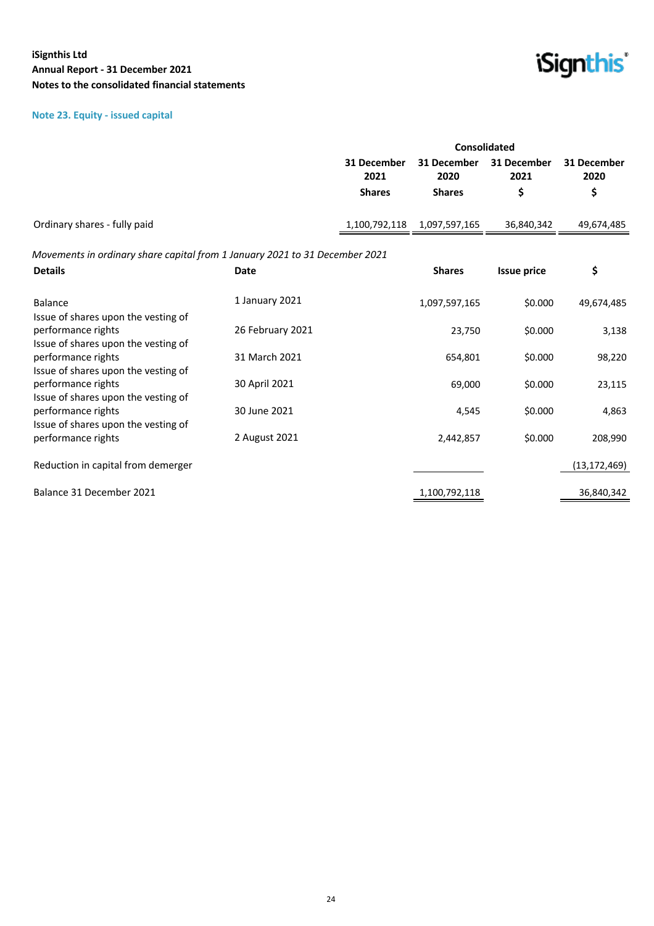## **Note 23. Equity - issued capital**



|                                                                                                  |                  | Consolidated        |                     |                     |                     |
|--------------------------------------------------------------------------------------------------|------------------|---------------------|---------------------|---------------------|---------------------|
|                                                                                                  |                  | 31 December<br>2021 | 31 December<br>2020 | 31 December<br>2021 | 31 December<br>2020 |
|                                                                                                  |                  | <b>Shares</b>       | <b>Shares</b>       | \$                  | \$                  |
| Ordinary shares - fully paid                                                                     |                  | 1,100,792,118       | 1,097,597,165       | 36,840,342          | 49,674,485          |
| Movements in ordinary share capital from 1 January 2021 to 31 December 2021                      |                  |                     |                     |                     |                     |
| <b>Details</b>                                                                                   | Date             |                     | <b>Shares</b>       | <b>Issue price</b>  | \$                  |
| <b>Balance</b>                                                                                   | 1 January 2021   |                     | 1,097,597,165       | \$0.000             | 49,674,485          |
| Issue of shares upon the vesting of<br>performance rights<br>Issue of shares upon the vesting of | 26 February 2021 |                     | 23,750              | \$0.000             | 3,138               |
| performance rights<br>Issue of shares upon the vesting of                                        | 31 March 2021    |                     | 654,801             | \$0.000             | 98,220              |
| performance rights<br>Issue of shares upon the vesting of                                        | 30 April 2021    |                     | 69,000              | \$0.000             | 23,115              |
| performance rights<br>Issue of shares upon the vesting of                                        | 30 June 2021     |                     | 4,545               | \$0.000             | 4,863               |
| performance rights                                                                               | 2 August 2021    |                     | 2,442,857           | \$0.000             | 208,990             |
| Reduction in capital from demerger                                                               |                  |                     |                     |                     | (13, 172, 469)      |
| Balance 31 December 2021                                                                         |                  |                     | 1,100,792,118       |                     | 36,840,342          |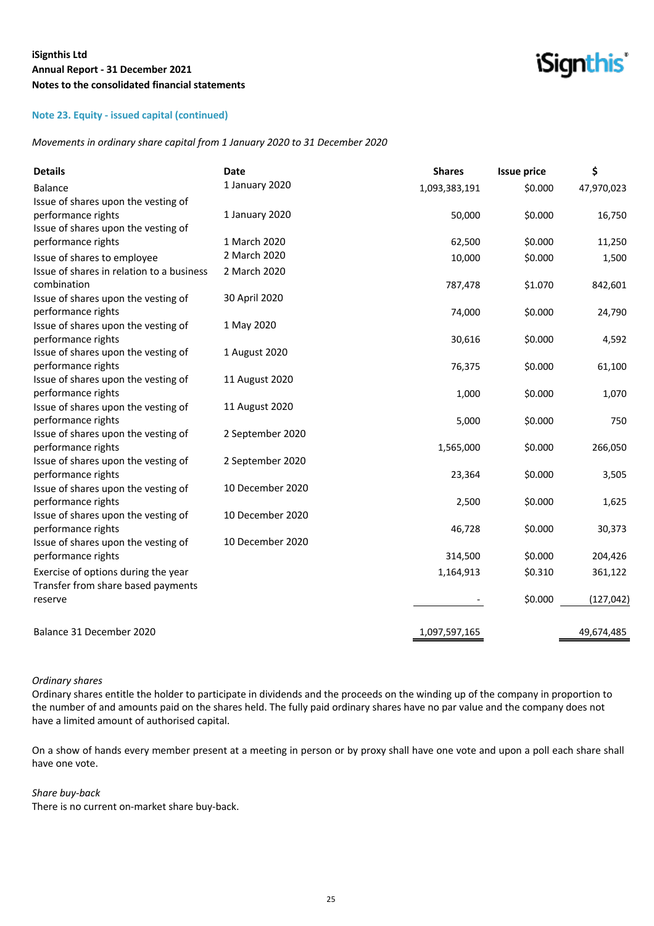## **Note 23. Equity - issued capital (continued)**

*Movements in ordinary share capital from 1 January 2020 to 31 December 2020*

| <b>Details</b>                            | Date             | <b>Shares</b> | <b>Issue price</b> | \$         |
|-------------------------------------------|------------------|---------------|--------------------|------------|
| <b>Balance</b>                            | 1 January 2020   | 1,093,383,191 | \$0.000            | 47,970,023 |
| Issue of shares upon the vesting of       |                  |               |                    |            |
| performance rights                        | 1 January 2020   | 50,000        | \$0.000            | 16,750     |
| Issue of shares upon the vesting of       |                  |               |                    |            |
| performance rights                        | 1 March 2020     | 62,500        | \$0.000            | 11,250     |
| Issue of shares to employee               | 2 March 2020     | 10,000        | \$0.000            | 1,500      |
| Issue of shares in relation to a business | 2 March 2020     |               |                    |            |
| combination                               |                  | 787,478       | \$1.070            | 842,601    |
| Issue of shares upon the vesting of       | 30 April 2020    |               |                    |            |
| performance rights                        |                  | 74,000        | \$0.000            | 24,790     |
| Issue of shares upon the vesting of       | 1 May 2020       |               |                    |            |
| performance rights                        |                  | 30,616        | \$0.000            | 4,592      |
| Issue of shares upon the vesting of       | 1 August 2020    |               |                    |            |
| performance rights                        |                  | 76,375        | \$0.000            | 61,100     |
| Issue of shares upon the vesting of       | 11 August 2020   |               |                    |            |
| performance rights                        |                  | 1,000         | \$0.000            | 1,070      |
| Issue of shares upon the vesting of       | 11 August 2020   |               |                    |            |
| performance rights                        |                  | 5,000         | \$0.000            | 750        |
| Issue of shares upon the vesting of       | 2 September 2020 |               |                    |            |
| performance rights                        |                  | 1,565,000     | \$0.000            | 266,050    |
| Issue of shares upon the vesting of       | 2 September 2020 |               |                    |            |
| performance rights                        |                  | 23,364        | \$0.000            | 3,505      |
| Issue of shares upon the vesting of       | 10 December 2020 |               |                    |            |
| performance rights                        |                  | 2,500         | \$0.000            | 1,625      |
| Issue of shares upon the vesting of       | 10 December 2020 |               |                    |            |
| performance rights                        |                  | 46,728        | \$0.000            | 30,373     |
| Issue of shares upon the vesting of       | 10 December 2020 |               |                    |            |
| performance rights                        |                  | 314,500       | \$0.000            | 204,426    |
| Exercise of options during the year       |                  | 1,164,913     | \$0.310            | 361,122    |
| Transfer from share based payments        |                  |               |                    |            |
| reserve                                   |                  |               | \$0.000            | (127, 042) |
| Balance 31 December 2020                  |                  | 1,097,597,165 |                    | 49,674,485 |
|                                           |                  |               |                    |            |

*iSignthis* 

#### *Ordinary shares*

Ordinary shares entitle the holder to participate in dividends and the proceeds on the winding up of the company in proportion to the number of and amounts paid on the shares held. The fully paid ordinary shares have no par value and the company does not have a limited amount of authorised capital.

On a show of hands every member present at a meeting in person or by proxy shall have one vote and upon a poll each share shall have one vote.

#### *Share buy-back*

There is no current on-market share buy-back.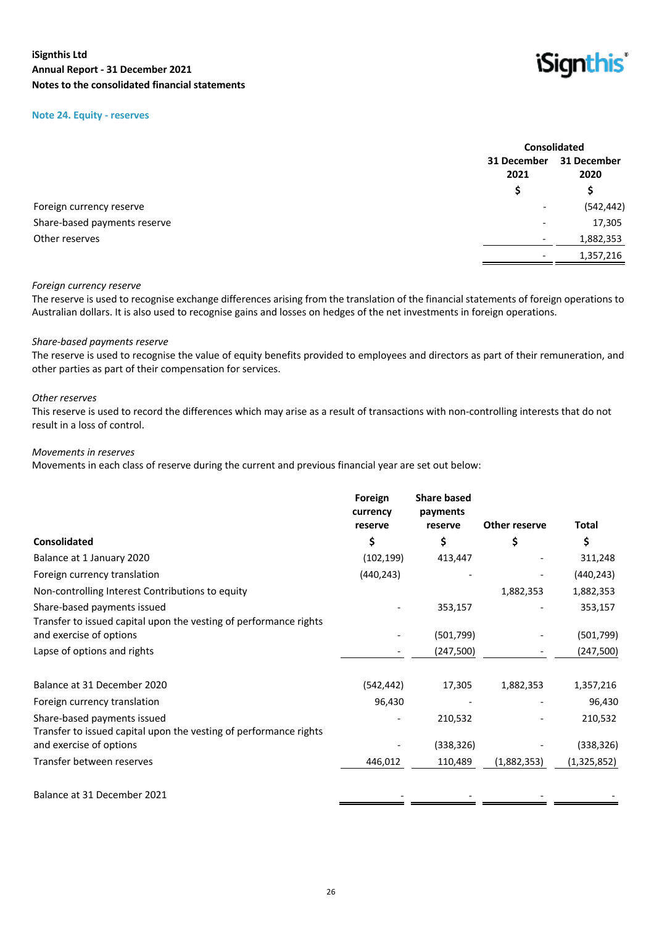#### **Note 24. Equity - reserves**



|                              |                          | <b>Consolidated</b>                |
|------------------------------|--------------------------|------------------------------------|
|                              | 2021                     | 31 December<br>31 December<br>2020 |
|                              | S                        |                                    |
| Foreign currency reserve     | $\overline{\phantom{a}}$ | (542, 442)                         |
| Share-based payments reserve | $\overline{\phantom{a}}$ | 17,305                             |
| Other reserves               | $\overline{\phantom{a}}$ | 1,882,353                          |
|                              | $\overline{\phantom{a}}$ | 1,357,216                          |

#### *Foreign currency reserve*

The reserve is used to recognise exchange differences arising from the translation of the financial statements of foreign operations to Australian dollars. It is also used to recognise gains and losses on hedges of the net investments in foreign operations.

#### *Share-based payments reserve*

The reserve is used to recognise the value of equity benefits provided to employees and directors as part of their remuneration, and other parties as part of their compensation for services.

#### *Other reserves*

This reserve is used to record the differences which may arise as a result of transactions with non-controlling interests that do not result in a loss of control.

#### *Movements in reserves*

Movements in each class of reserve during the current and previous financial year are set out below:

|                                                                                                  | Foreign<br>currency | <b>Share based</b><br>payments |               |               |
|--------------------------------------------------------------------------------------------------|---------------------|--------------------------------|---------------|---------------|
|                                                                                                  | reserve             | reserve                        | Other reserve | <b>Total</b>  |
| <b>Consolidated</b>                                                                              | \$                  | \$                             | \$            | \$            |
| Balance at 1 January 2020                                                                        | (102, 199)          | 413,447                        |               | 311,248       |
| Foreign currency translation                                                                     | (440, 243)          |                                |               | (440, 243)    |
| Non-controlling Interest Contributions to equity                                                 |                     |                                | 1,882,353     | 1,882,353     |
| Share-based payments issued<br>Transfer to issued capital upon the vesting of performance rights |                     | 353,157                        |               | 353,157       |
| and exercise of options                                                                          |                     | (501, 799)                     |               | (501,799)     |
| Lapse of options and rights                                                                      |                     | (247,500)                      |               | (247, 500)    |
| Balance at 31 December 2020                                                                      | (542, 442)          | 17,305                         | 1,882,353     | 1,357,216     |
| Foreign currency translation                                                                     | 96,430              |                                |               | 96,430        |
| Share-based payments issued<br>Transfer to issued capital upon the vesting of performance rights |                     | 210,532                        |               | 210,532       |
| and exercise of options                                                                          |                     | (338, 326)                     |               | (338, 326)    |
| Transfer between reserves                                                                        | 446,012             | 110,489                        | (1,882,353)   | (1, 325, 852) |
| Balance at 31 December 2021                                                                      |                     |                                |               |               |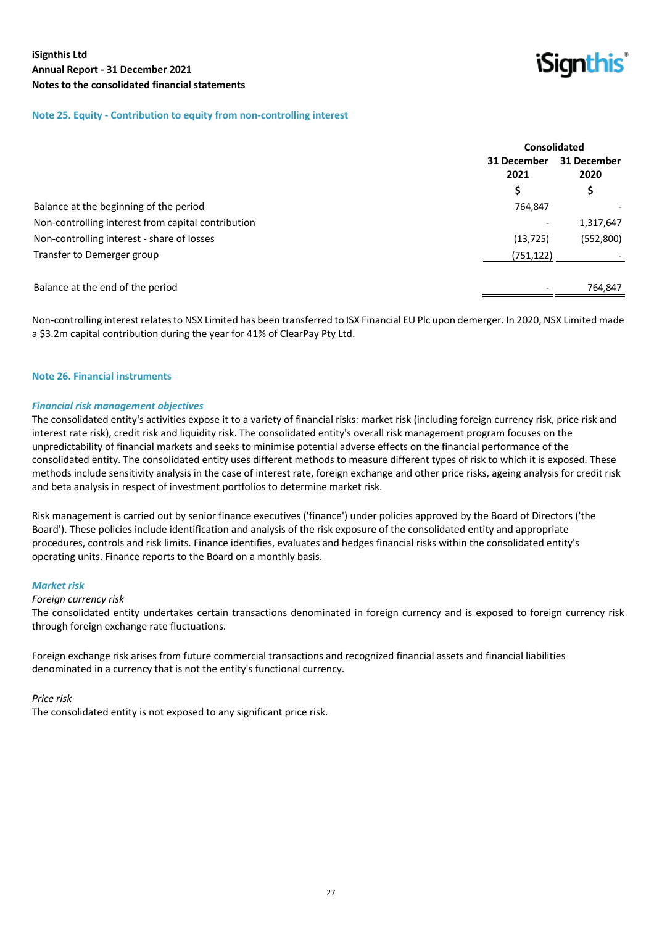*iSianthis* 

#### **Note 25. Equity - Contribution to equity from non-controlling interest**

|                                                    | <b>Consolidated</b> |                     |
|----------------------------------------------------|---------------------|---------------------|
|                                                    | 31 December<br>2021 | 31 December<br>2020 |
|                                                    | \$                  | \$                  |
| Balance at the beginning of the period             | 764,847             |                     |
| Non-controlling interest from capital contribution |                     | 1,317,647           |
| Non-controlling interest - share of losses         | (13, 725)           | (552,800)           |
| Transfer to Demerger group                         | (751,122)           |                     |
|                                                    |                     |                     |
| Balance at the end of the period                   |                     | 764,847             |
|                                                    |                     |                     |

Non-controlling interest relates to NSX Limited has been transferred to ISX Financial EU Plc upon demerger. In 2020, NSX Limited made a \$3.2m capital contribution during the year for 41% of ClearPay Pty Ltd.

#### **Note 26. Financial instruments**

#### *Financial risk management objectives*

The consolidated entity's activities expose it to a variety of financial risks: market risk (including foreign currency risk, price risk and interest rate risk), credit risk and liquidity risk. The consolidated entity's overall risk management program focuses on the unpredictability of financial markets and seeks to minimise potential adverse effects on the financial performance of the consolidated entity. The consolidated entity uses different methods to measure different types of risk to which it is exposed. These methods include sensitivity analysis in the case of interest rate, foreign exchange and other price risks, ageing analysis for credit risk and beta analysis in respect of investment portfolios to determine market risk.

Risk management is carried out by senior finance executives ('finance') under policies approved by the Board of Directors ('the Board'). These policies include identification and analysis of the risk exposure of the consolidated entity and appropriate procedures, controls and risk limits. Finance identifies, evaluates and hedges financial risks within the consolidated entity's operating units. Finance reports to the Board on a monthly basis.

#### *Market risk*

#### *Foreign currency risk*

The consolidated entity undertakes certain transactions denominated in foreign currency and is exposed to foreign currency risk through foreign exchange rate fluctuations.

Foreign exchange risk arises from future commercial transactions and recognized financial assets and financial liabilities denominated in a currency that is not the entity's functional currency.

#### *Price risk*

The consolidated entity is not exposed to any significant price risk.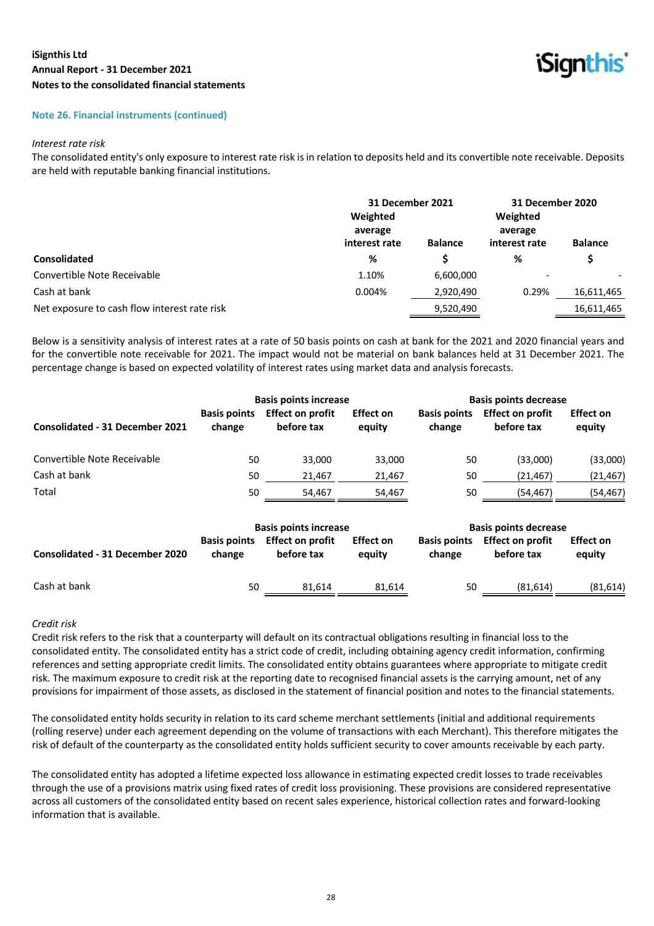

#### **Note 26. Financial instruments (continued)**

#### *Interest rate risk*

The consolidated entity's only exposure to interest rate risk is in relation to deposits held and its convertible note receivable. Deposits are held with reputable banking financial institutions.

|                                              | 31 December 2021<br>Weighted<br>average |                | 31 December 2020<br>Weighted<br>average |                          |  |
|----------------------------------------------|-----------------------------------------|----------------|-----------------------------------------|--------------------------|--|
|                                              | interest rate                           | <b>Balance</b> | interest rate                           | <b>Balance</b>           |  |
| <b>Consolidated</b>                          | %                                       |                | %                                       | \$                       |  |
| Convertible Note Receivable                  | 1.10%                                   | 6,600,000      | $\qquad \qquad$                         | $\overline{\phantom{0}}$ |  |
| Cash at bank                                 | 0.004%                                  | 2,920,490      | 0.29%                                   | 16,611,465               |  |
| Net exposure to cash flow interest rate risk |                                         | 9,520,490      |                                         | 16,611,465               |  |

Below is a sensitivity analysis of interest rates at a rate of 50 basis points on cash at bank for the 2021 and 2020 financial years and for the convertible note receivable for 2021. The impact would not be material on bank balances held at 31 December 2021. The percentage change is based on expected volatility of interest rates using market data and analysis forecasts.

|                                        | <b>Basis points increase</b>  |                                       |                            | <b>Basis points decrease</b>  |                                       |                            |
|----------------------------------------|-------------------------------|---------------------------------------|----------------------------|-------------------------------|---------------------------------------|----------------------------|
| <b>Consolidated - 31 December 2021</b> | <b>Basis points</b><br>change | <b>Effect on profit</b><br>before tax | <b>Effect on</b><br>equity | <b>Basis points</b><br>change | <b>Effect on profit</b><br>before tax | <b>Effect on</b><br>equity |
| Convertible Note Receivable            | 50                            | 33.000                                | 33,000                     | 50                            | (33,000)                              | (33,000)                   |
| Cash at bank                           | 50                            | 21,467                                | 21,467                     | 50                            | (21, 467)                             | (21, 467)                  |
| Total                                  | 50                            | 54.467                                | 54.467                     | 50                            | (54, 467)                             | (54,467)                   |
|                                        |                               | <b>Basis points increase</b>          |                            |                               | <b>Basis points decrease</b>          | ----                       |

| <b>Consolidated - 31 December 2020</b> | change | Basis points Effect on profit<br>before tax | <b>Effect on</b><br>eauity | change | Basis points Effect on profit<br>before tax | <b>Effect on</b><br>equity |
|----------------------------------------|--------|---------------------------------------------|----------------------------|--------|---------------------------------------------|----------------------------|
| Cash at bank                           | 50     | 81.614                                      | 81.614                     | 50     | (81, 614)                                   | (81, 614)                  |

#### *Credit risk*

Credit risk refers to the risk that a counterparty will default on its contractual obligations resulting in financial loss to the consolidated entity. The consolidated entity has a strict code of credit, including obtaining agency credit information, confirming references and setting appropriate credit limits. The consolidated entity obtains guarantees where appropriate to mitigate credit risk. The maximum exposure to credit risk at the reporting date to recognised financial assets is the carrying amount, net of any provisions for impairment of those assets, as disclosed in the statement of financial position and notes to the financial statements.

The consolidated entity holds security in relation to its card scheme merchant settlements (initial and additional requirements (rolling reserve) under each agreement depending on the volume of transactions with each Merchant). This therefore mitigates the risk of default of the counterparty as the consolidated entity holds sufficient security to cover amounts receivable by each party.

The consolidated entity has adopted a lifetime expected loss allowance in estimating expected credit losses to trade receivables through the use of a provisions matrix using fixed rates of credit loss provisioning. These provisions are considered representative across all customers of the consolidated entity based on recent sales experience, historical collection rates and forward-looking information that is available.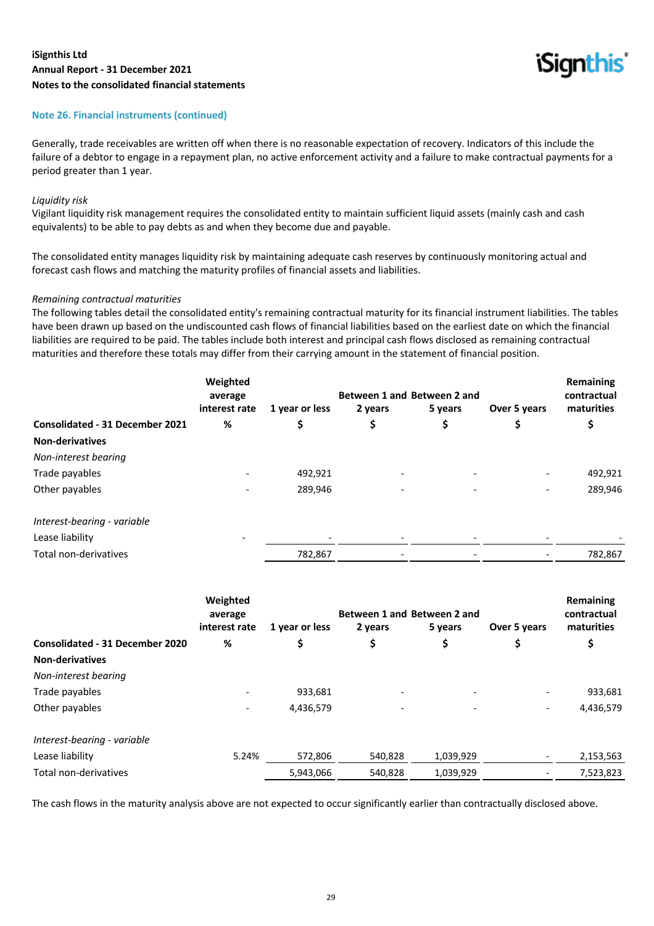

#### **Note 26. Financial instruments (continued)**

Generally, trade receivables are written off when there is no reasonable expectation of recovery. Indicators of this include the failure of a debtor to engage in a repayment plan, no active enforcement activity and a failure to make contractual payments for a period greater than 1 year.

#### *Liquidity risk*

Vigilant liquidity risk management requires the consolidated entity to maintain sufficient liquid assets (mainly cash and cash equivalents) to be able to pay debts as and when they become due and payable.

The consolidated entity manages liquidity risk by maintaining adequate cash reserves by continuously monitoring actual and forecast cash flows and matching the maturity profiles of financial assets and liabilities.

#### *Remaining contractual maturities*

The following tables detail the consolidated entity's remaining contractual maturity for its financial instrument liabilities. The tables have been drawn up based on the undiscounted cash flows of financial liabilities based on the earliest date on which the financial liabilities are required to be paid. The tables include both interest and principal cash flows disclosed as remaining contractual maturities and therefore these totals may differ from their carrying amount in the statement of financial position.

|                                        | Weighted<br>average      |                | Between 1 and Between 2 and |         |              | Remaining<br>contractual |
|----------------------------------------|--------------------------|----------------|-----------------------------|---------|--------------|--------------------------|
|                                        | interest rate            | 1 year or less | 2 years                     | 5 years | Over 5 years | maturities               |
| <b>Consolidated - 31 December 2021</b> | %                        |                | \$                          | \$      |              |                          |
| <b>Non-derivatives</b>                 |                          |                |                             |         |              |                          |
| Non-interest bearing                   |                          |                |                             |         |              |                          |
| Trade payables                         |                          | 492,921        |                             |         |              | 492,921                  |
| Other payables                         |                          | 289,946        |                             |         |              | 289,946                  |
| Interest-bearing - variable            |                          |                |                             |         |              |                          |
| Lease liability                        | $\overline{\phantom{0}}$ |                |                             |         |              |                          |
| Total non-derivatives                  |                          | 782,867        |                             |         |              | 782,867                  |

|                                        | Weighted<br>average<br>interest rate | 1 year or less | Between 1 and Between 2 and<br>2 years | 5 years   | Over 5 years             | Remaining<br>contractual<br>maturities |
|----------------------------------------|--------------------------------------|----------------|----------------------------------------|-----------|--------------------------|----------------------------------------|
| <b>Consolidated - 31 December 2020</b> | %                                    | \$             | \$                                     | \$        |                          | \$                                     |
| <b>Non-derivatives</b>                 |                                      |                |                                        |           |                          |                                        |
| Non-interest bearing                   |                                      |                |                                        |           |                          |                                        |
| Trade payables                         |                                      | 933,681        |                                        |           |                          | 933,681                                |
| Other payables                         | $\overline{\phantom{a}}$             | 4,436,579      |                                        |           | $\overline{\phantom{0}}$ | 4,436,579                              |
| Interest-bearing - variable            |                                      |                |                                        |           |                          |                                        |
| Lease liability                        | 5.24%                                | 572,806        | 540,828                                | 1,039,929 |                          | 2,153,563                              |
| Total non-derivatives                  |                                      | 5,943,066      | 540,828                                | 1,039,929 |                          | 7,523,823                              |

The cash flows in the maturity analysis above are not expected to occur significantly earlier than contractually disclosed above.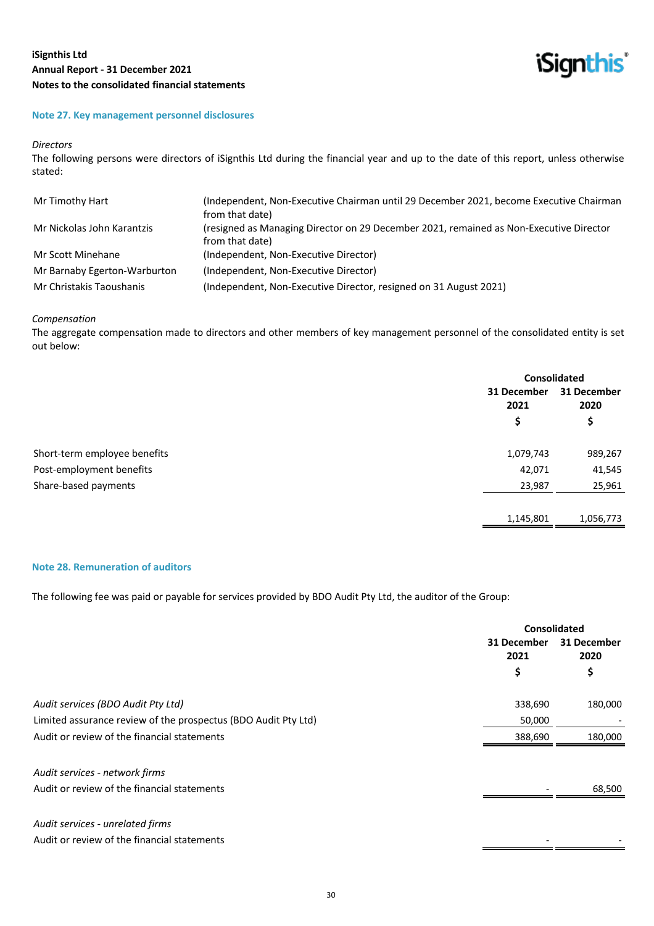

#### **Note 27. Key management personnel disclosures**

#### *Directors*

The following persons were directors of iSignthis Ltd during the financial year and up to the date of this report, unless otherwise stated:

| Mr Timothy Hart              | (Independent, Non-Executive Chairman until 29 December 2021, become Executive Chairman                    |
|------------------------------|-----------------------------------------------------------------------------------------------------------|
|                              | from that date)                                                                                           |
| Mr Nickolas John Karantzis   | (resigned as Managing Director on 29 December 2021, remained as Non-Executive Director<br>from that date) |
|                              |                                                                                                           |
| Mr Scott Minehane            | (Independent, Non-Executive Director)                                                                     |
| Mr Barnaby Egerton-Warburton | (Independent, Non-Executive Director)                                                                     |
| Mr Christakis Taoushanis     | (Independent, Non-Executive Director, resigned on 31 August 2021)                                         |

#### *Compensation*

The aggregate compensation made to directors and other members of key management personnel of the consolidated entity is set out below:

|                              | <b>Consolidated</b> |           |                     |
|------------------------------|---------------------|-----------|---------------------|
|                              | 31 December<br>2021 |           | 31 December<br>2020 |
|                              | \$                  | \$        |                     |
| Short-term employee benefits | 1,079,743           | 989,267   |                     |
| Post-employment benefits     | 42,071              | 41,545    |                     |
| Share-based payments         | 23,987              | 25,961    |                     |
|                              | 1,145,801           | 1,056,773 |                     |

#### **Note 28. Remuneration of auditors**

The following fee was paid or payable for services provided by BDO Audit Pty Ltd, the auditor of the Group:

|                                                                | <b>Consolidated</b> |                     |
|----------------------------------------------------------------|---------------------|---------------------|
|                                                                | 31 December<br>2021 | 31 December<br>2020 |
|                                                                | \$                  | \$                  |
| Audit services (BDO Audit Pty Ltd)                             | 338,690             | 180,000             |
| Limited assurance review of the prospectus (BDO Audit Pty Ltd) | 50,000              |                     |
| Audit or review of the financial statements                    | 388,690             | 180,000             |
| Audit services - network firms                                 |                     |                     |
| Audit or review of the financial statements                    |                     | 68,500              |
| Audit services - unrelated firms                               |                     |                     |
| Audit or review of the financial statements                    |                     |                     |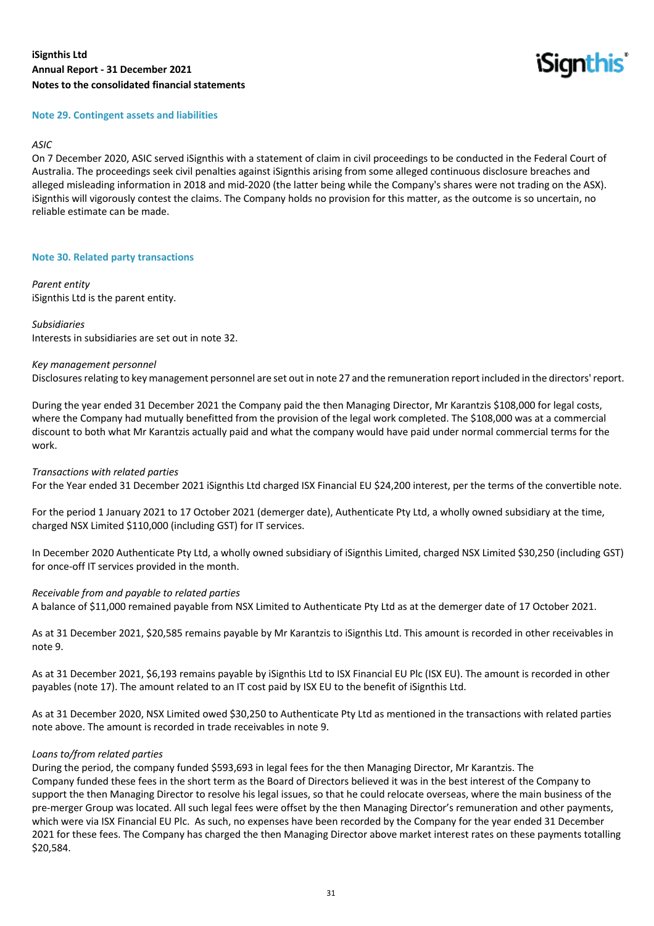**iSignthis** 

#### **Note 29. Contingent assets and liabilities**

#### *ASIC*

On 7 December 2020, ASIC served iSignthis with a statement of claim in civil proceedings to be conducted in the Federal Court of Australia. The proceedings seek civil penalties against iSignthis arising from some alleged continuous disclosure breaches and alleged misleading information in 2018 and mid-2020 (the latter being while the Company's shares were not trading on the ASX). iSignthis will vigorously contest the claims. The Company holds no provision for this matter, as the outcome is so uncertain, no reliable estimate can be made.

#### **Note 30. Related party transactions**

*Parent entity* iSignthis Ltd is the parent entity.

#### *Subsidiaries*

Interests in subsidiaries are set out in note 32.

#### *Key management personnel*

Disclosures relating to key management personnel are set out in note 27 and the remuneration report included in the directors' report.

During the year ended 31 December 2021 the Company paid the then Managing Director, Mr Karantzis \$108,000 for legal costs, where the Company had mutually benefitted from the provision of the legal work completed. The \$108,000 was at a commercial discount to both what Mr Karantzis actually paid and what the company would have paid under normal commercial terms for the work.

#### *Transactions with related parties*

For the Year ended 31 December 2021 iSignthis Ltd charged ISX Financial EU \$24,200 interest, per the terms of the convertible note.

For the period 1 January 2021 to 17 October 2021 (demerger date), Authenticate Pty Ltd, a wholly owned subsidiary at the time, charged NSX Limited \$110,000 (including GST) for IT services.

In December 2020 Authenticate Pty Ltd, a wholly owned subsidiary of iSignthis Limited, charged NSX Limited \$30,250 (including GST) for once-off IT services provided in the month.

#### *Receivable from and payable to related parties*

A balance of \$11,000 remained payable from NSX Limited to Authenticate Pty Ltd as at the demerger date of 17 October 2021.

As at 31 December 2021, \$20,585 remains payable by Mr Karantzis to iSignthis Ltd. This amount is recorded in other receivables in note 9.

As at 31 December 2021, \$6,193 remains payable by iSignthis Ltd to ISX Financial EU Plc (ISX EU). The amount is recorded in other payables (note 17). The amount related to an IT cost paid by ISX EU to the benefit of iSignthis Ltd.

As at 31 December 2020, NSX Limited owed \$30,250 to Authenticate Pty Ltd as mentioned in the transactions with related parties note above. The amount is recorded in trade receivables in note 9.

#### *Loans to/from related parties*

During the period, the company funded \$593,693 in legal fees for the then Managing Director, Mr Karantzis. The Company funded these fees in the short term as the Board of Directors believed it was in the best interest of the Company to support the then Managing Director to resolve his legal issues, so that he could relocate overseas, where the main business of the pre-merger Group was located. All such legal fees were offset by the then Managing Director's remuneration and other payments, which were via ISX Financial EU Plc. As such, no expenses have been recorded by the Company for the year ended 31 December 2021 for these fees. The Company has charged the then Managing Director above market interest rates on these payments totalling \$20,584.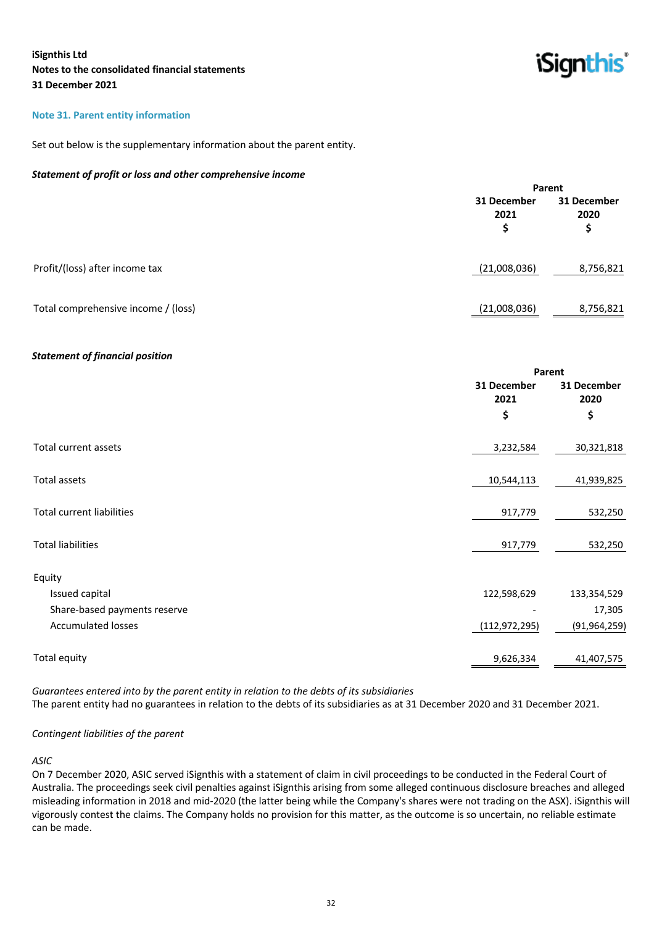'Signthis

#### **Note 31. Parent entity information**

Set out below is the supplementary information about the parent entity.

#### *Statement of profit or loss and other comprehensive income*

|                                     |                           | Parent                    |
|-------------------------------------|---------------------------|---------------------------|
|                                     | 31 December<br>2021<br>\$ | 31 December<br>2020<br>\$ |
| Profit/(loss) after income tax      | (21,008,036)              | 8,756,821                 |
| Total comprehensive income / (loss) | (21,008,036)              | 8,756,821                 |

#### *Statement of financial position*

|                                  |                     | Parent              |
|----------------------------------|---------------------|---------------------|
|                                  | 31 December<br>2021 | 31 December<br>2020 |
|                                  | \$                  | \$                  |
| Total current assets             | 3,232,584           | 30,321,818          |
| Total assets                     | 10,544,113          | 41,939,825          |
| <b>Total current liabilities</b> | 917,779             | 532,250             |
| <b>Total liabilities</b>         | 917,779             | 532,250             |
| Equity                           |                     |                     |
| Issued capital                   | 122,598,629         | 133,354,529         |
| Share-based payments reserve     |                     | 17,305              |
| <b>Accumulated losses</b>        | (112, 972, 295)     | (91, 964, 259)      |
| Total equity                     | 9,626,334           | 41,407,575          |
|                                  |                     |                     |

*Guarantees entered into by the parent entity in relation to the debts of its subsidiaries* The parent entity had no guarantees in relation to the debts of its subsidiaries as at 31 December 2020 and 31 December 2021.

#### *Contingent liabilities of the parent*

#### *ASIC*

On 7 December 2020, ASIC served iSignthis with a statement of claim in civil proceedings to be conducted in the Federal Court of Australia. The proceedings seek civil penalties against iSignthis arising from some alleged continuous disclosure breaches and alleged misleading information in 2018 and mid-2020 (the latter being while the Company's shares were not trading on the ASX). iSignthis will vigorously contest the claims. The Company holds no provision for this matter, as the outcome is so uncertain, no reliable estimate can be made.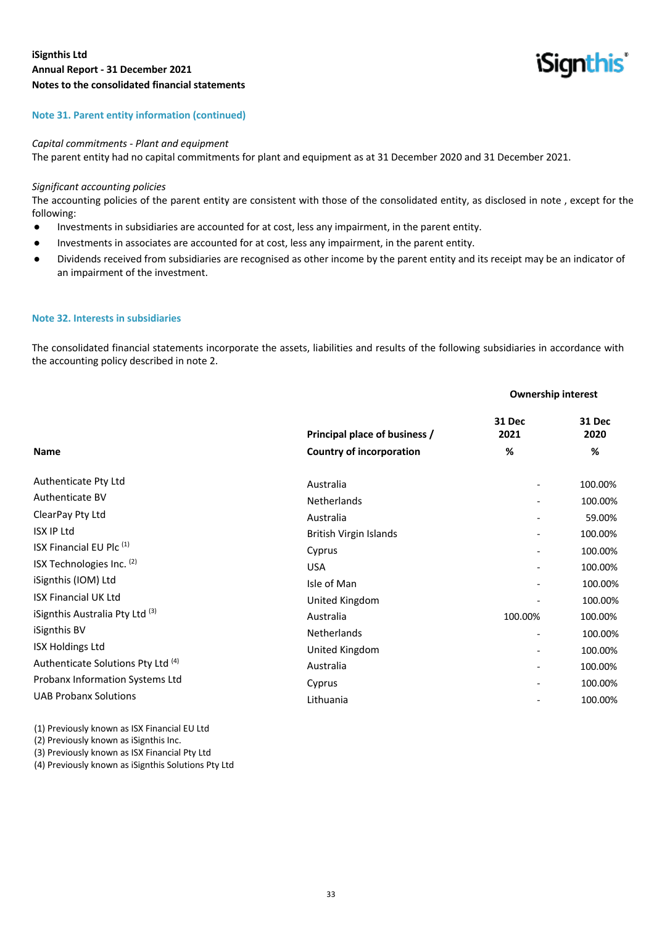

#### **Note 31. Parent entity information (continued)**

#### *Capital commitments - Plant and equipment*

The parent entity had no capital commitments for plant and equipment as at 31 December 2020 and 31 December 2021.

#### *Significant accounting policies*

The accounting policies of the parent entity are consistent with those of the consolidated entity, as disclosed in note , except for the following:

- Investments in subsidiaries are accounted for at cost, less any impairment, in the parent entity.
- Investments in associates are accounted for at cost, less any impairment, in the parent entity.
- Dividends received from subsidiaries are recognised as other income by the parent entity and its receipt may be an indicator of an impairment of the investment.

#### **Note 32. Interests in subsidiaries**

The consolidated financial statements incorporate the assets, liabilities and results of the following subsidiaries in accordance with the accounting policy described in note 2.

#### **Ownership interest**

|                                            | Principal place of business / | 31 Dec<br>2021           | <b>31 Dec</b><br>2020 |
|--------------------------------------------|-------------------------------|--------------------------|-----------------------|
| <b>Name</b>                                | Country of incorporation      | %                        | %                     |
| Authenticate Pty Ltd                       | Australia                     |                          | 100.00%               |
| Authenticate BV                            | <b>Netherlands</b>            | $\overline{\phantom{a}}$ | 100.00%               |
| ClearPay Pty Ltd                           | Australia                     |                          | 59.00%                |
| <b>ISX IP Ltd</b>                          | British Virgin Islands        |                          | 100.00%               |
| ISX Financial EU Plc (1)                   | Cyprus                        | $\overline{\phantom{a}}$ | 100.00%               |
| ISX Technologies Inc. (2)                  | <b>USA</b>                    | $\overline{\phantom{a}}$ | 100.00%               |
| iSignthis (IOM) Ltd                        | Isle of Man                   | $\overline{\phantom{a}}$ | 100.00%               |
| <b>ISX Financial UK Ltd</b>                | United Kingdom                |                          | 100.00%               |
| iSignthis Australia Pty Ltd <sup>(3)</sup> | Australia                     | 100.00%                  | 100.00%               |
| iSignthis BV                               | Netherlands                   | $\overline{\phantom{0}}$ | 100.00%               |
| <b>ISX Holdings Ltd</b>                    | United Kingdom                | $\overline{\phantom{a}}$ | 100.00%               |
| Authenticate Solutions Pty Ltd (4)         | Australia                     |                          | 100.00%               |
| Probanx Information Systems Ltd            | Cyprus                        |                          | 100.00%               |
| <b>UAB Probanx Solutions</b>               | Lithuania                     |                          | 100.00%               |
|                                            |                               |                          |                       |

(1) Previously known as ISX Financial EU Ltd

(2) Previously known as iSignthis Inc.

(3) Previously known as ISX Financial Pty Ltd

(4) Previously known as iSignthis Solutions Pty Ltd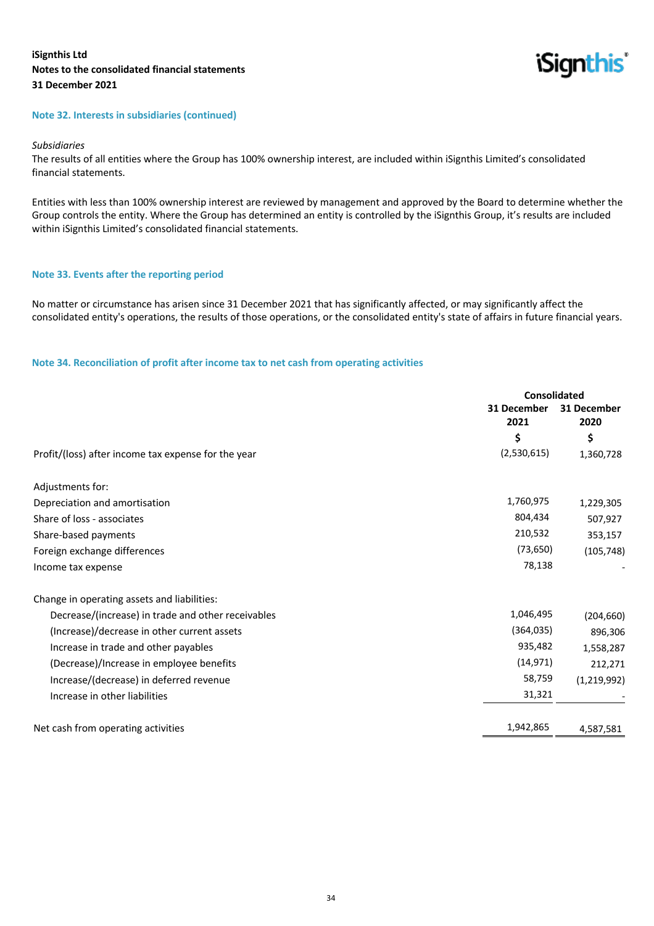

## **Note 32. Interests in subsidiaries (continued)**

#### *Subsidiaries*

The results of all entities where the Group has 100% ownership interest, are included within iSignthis Limited's consolidated financial statements.

Entities with less than 100% ownership interest are reviewed by management and approved by the Board to determine whether the Group controls the entity. Where the Group has determined an entity is controlled by the iSignthis Group, it's results are included within iSignthis Limited's consolidated financial statements.

#### **Note 33. Events after the reporting period**

No matter or circumstance has arisen since 31 December 2021 that has significantly affected, or may significantly affect the consolidated entity's operations, the results of those operations, or the consolidated entity's state of affairs in future financial years.

#### **Note 34. Reconciliation of profit after income tax to net cash from operating activities**

|                                                     | <b>Consolidated</b> |                     |
|-----------------------------------------------------|---------------------|---------------------|
|                                                     | 31 December<br>2021 | 31 December<br>2020 |
|                                                     | \$                  | \$                  |
| Profit/(loss) after income tax expense for the year | (2,530,615)         | 1,360,728           |
| Adjustments for:                                    |                     |                     |
| Depreciation and amortisation                       | 1,760,975           | 1,229,305           |
| Share of loss - associates                          | 804,434             | 507,927             |
| Share-based payments                                | 210,532             | 353,157             |
| Foreign exchange differences                        | (73, 650)           | (105, 748)          |
| Income tax expense                                  | 78,138              |                     |
| Change in operating assets and liabilities:         |                     |                     |
| Decrease/(increase) in trade and other receivables  | 1,046,495           | (204, 660)          |
| (Increase)/decrease in other current assets         | (364, 035)          | 896,306             |
| Increase in trade and other payables                | 935,482             | 1,558,287           |
| (Decrease)/Increase in employee benefits            | (14, 971)           | 212,271             |
| Increase/(decrease) in deferred revenue             | 58,759              | (1, 219, 992)       |
| Increase in other liabilities                       | 31,321              |                     |
| Net cash from operating activities                  | 1,942,865           | 4,587,581           |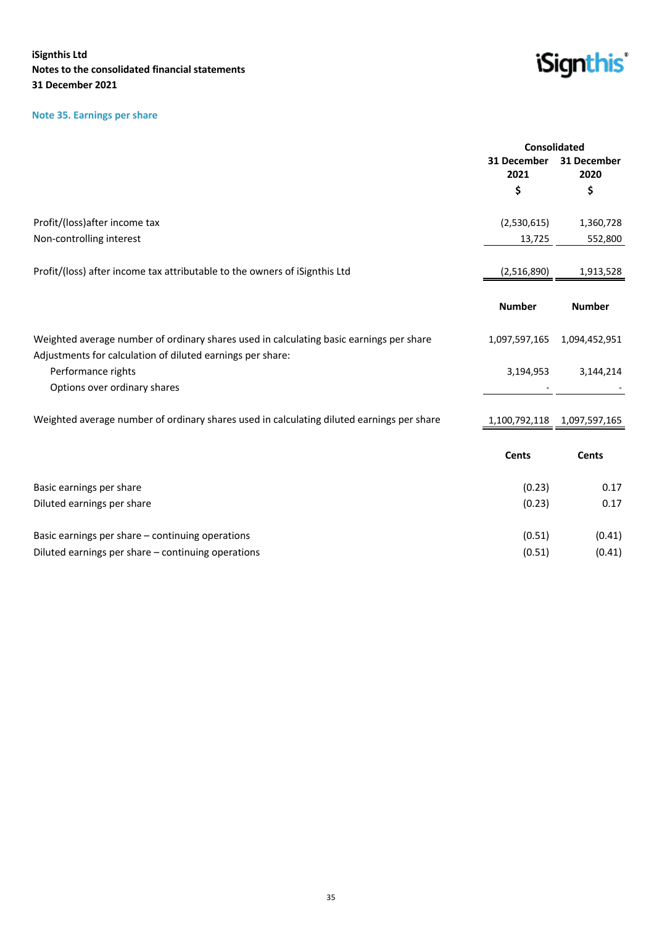## **Note 35. Earnings per share**



| 31 December<br>31 December<br>2021<br>2020<br>\$<br>\$<br>Profit/(loss) after income tax<br>(2,530,615)<br>1,360,728<br>Non-controlling interest<br>552,800<br>13,725<br>Profit/(loss) after income tax attributable to the owners of iSignthis Ltd<br>1,913,528<br>(2,516,890)<br><b>Number</b><br><b>Number</b><br>Weighted average number of ordinary shares used in calculating basic earnings per share<br>1,097,597,165<br>1,094,452,951<br>Adjustments for calculation of diluted earnings per share:<br>Performance rights<br>3,194,953<br>3,144,214<br>Options over ordinary shares<br>Weighted average number of ordinary shares used in calculating diluted earnings per share<br>1,100,792,118 1,097,597,165<br><b>Cents</b><br><b>Cents</b><br>(0.23)<br>0.17<br>Basic earnings per share |                            | Consolidated |      |
|--------------------------------------------------------------------------------------------------------------------------------------------------------------------------------------------------------------------------------------------------------------------------------------------------------------------------------------------------------------------------------------------------------------------------------------------------------------------------------------------------------------------------------------------------------------------------------------------------------------------------------------------------------------------------------------------------------------------------------------------------------------------------------------------------------|----------------------------|--------------|------|
|                                                                                                                                                                                                                                                                                                                                                                                                                                                                                                                                                                                                                                                                                                                                                                                                        |                            |              |      |
|                                                                                                                                                                                                                                                                                                                                                                                                                                                                                                                                                                                                                                                                                                                                                                                                        |                            |              |      |
|                                                                                                                                                                                                                                                                                                                                                                                                                                                                                                                                                                                                                                                                                                                                                                                                        |                            |              |      |
|                                                                                                                                                                                                                                                                                                                                                                                                                                                                                                                                                                                                                                                                                                                                                                                                        |                            |              |      |
|                                                                                                                                                                                                                                                                                                                                                                                                                                                                                                                                                                                                                                                                                                                                                                                                        |                            |              |      |
|                                                                                                                                                                                                                                                                                                                                                                                                                                                                                                                                                                                                                                                                                                                                                                                                        |                            |              |      |
|                                                                                                                                                                                                                                                                                                                                                                                                                                                                                                                                                                                                                                                                                                                                                                                                        |                            |              |      |
|                                                                                                                                                                                                                                                                                                                                                                                                                                                                                                                                                                                                                                                                                                                                                                                                        |                            |              |      |
|                                                                                                                                                                                                                                                                                                                                                                                                                                                                                                                                                                                                                                                                                                                                                                                                        |                            |              |      |
|                                                                                                                                                                                                                                                                                                                                                                                                                                                                                                                                                                                                                                                                                                                                                                                                        |                            |              |      |
|                                                                                                                                                                                                                                                                                                                                                                                                                                                                                                                                                                                                                                                                                                                                                                                                        |                            |              |      |
|                                                                                                                                                                                                                                                                                                                                                                                                                                                                                                                                                                                                                                                                                                                                                                                                        |                            |              |      |
|                                                                                                                                                                                                                                                                                                                                                                                                                                                                                                                                                                                                                                                                                                                                                                                                        |                            |              |      |
|                                                                                                                                                                                                                                                                                                                                                                                                                                                                                                                                                                                                                                                                                                                                                                                                        |                            |              |      |
|                                                                                                                                                                                                                                                                                                                                                                                                                                                                                                                                                                                                                                                                                                                                                                                                        |                            |              |      |
|                                                                                                                                                                                                                                                                                                                                                                                                                                                                                                                                                                                                                                                                                                                                                                                                        | Diluted earnings per share | (0.23)       | 0.17 |
| Basic earnings per share - continuing operations<br>(0.51)<br>(0.41)                                                                                                                                                                                                                                                                                                                                                                                                                                                                                                                                                                                                                                                                                                                                   |                            |              |      |
| Diluted earnings per share - continuing operations<br>(0.51)<br>(0.41)                                                                                                                                                                                                                                                                                                                                                                                                                                                                                                                                                                                                                                                                                                                                 |                            |              |      |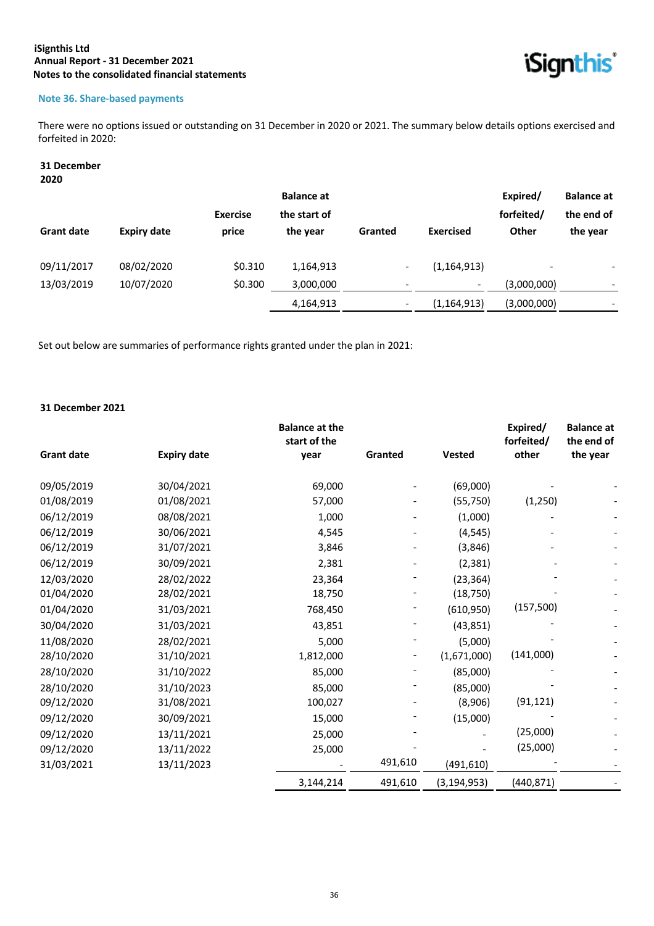

## **Note 36. Share-based payments**

There were no options issued or outstanding on 31 December in 2020 or 2021. The summary below details options exercised and forfeited in 2020:

## **31 December**

**2020**

|                   |                    |                 | <b>Balance at</b> |                          |                  | Expired/                 | <b>Balance at</b> |
|-------------------|--------------------|-----------------|-------------------|--------------------------|------------------|--------------------------|-------------------|
|                   |                    | <b>Exercise</b> | the start of      |                          |                  | forfeited/               | the end of        |
| <b>Grant date</b> | <b>Expiry date</b> | price           | the year          | Granted                  | <b>Exercised</b> | <b>Other</b>             | the year          |
| 09/11/2017        | 08/02/2020         | \$0.310         | 1,164,913         | $\overline{\phantom{a}}$ | (1, 164, 913)    | $\overline{\phantom{a}}$ |                   |
| 13/03/2019        | 10/07/2020         | \$0.300         | 3,000,000         | $\overline{\phantom{0}}$ |                  | (3,000,000)              |                   |
|                   |                    |                 | 4,164,913         | $\overline{\phantom{a}}$ | (1, 164, 913)    | (3,000,000)              | -                 |

Set out below are summaries of performance rights granted under the plan in 2021:

## **31 December 2021**

|                   |                    | <b>Balance at the</b><br>start of the |         |               | Expired/<br>forfeited/ | <b>Balance at</b><br>the end of |
|-------------------|--------------------|---------------------------------------|---------|---------------|------------------------|---------------------------------|
| <b>Grant date</b> | <b>Expiry date</b> | year                                  | Granted | <b>Vested</b> | other                  | the year                        |
| 09/05/2019        | 30/04/2021         | 69,000                                |         | (69,000)      |                        |                                 |
| 01/08/2019        | 01/08/2021         | 57,000                                |         | (55, 750)     | (1, 250)               |                                 |
| 06/12/2019        | 08/08/2021         | 1,000                                 |         | (1,000)       |                        |                                 |
| 06/12/2019        | 30/06/2021         | 4,545                                 |         | (4, 545)      |                        |                                 |
| 06/12/2019        | 31/07/2021         | 3,846                                 |         | (3,846)       |                        |                                 |
| 06/12/2019        | 30/09/2021         | 2,381                                 |         | (2, 381)      |                        |                                 |
| 12/03/2020        | 28/02/2022         | 23,364                                |         | (23, 364)     |                        |                                 |
| 01/04/2020        | 28/02/2021         | 18,750                                |         | (18, 750)     |                        |                                 |
| 01/04/2020        | 31/03/2021         | 768,450                               |         | (610, 950)    | (157, 500)             |                                 |
| 30/04/2020        | 31/03/2021         | 43,851                                |         | (43, 851)     |                        |                                 |
| 11/08/2020        | 28/02/2021         | 5,000                                 |         | (5,000)       |                        |                                 |
| 28/10/2020        | 31/10/2021         | 1,812,000                             |         | (1,671,000)   | (141,000)              |                                 |
| 28/10/2020        | 31/10/2022         | 85,000                                |         | (85,000)      |                        |                                 |
| 28/10/2020        | 31/10/2023         | 85,000                                |         | (85,000)      |                        |                                 |
| 09/12/2020        | 31/08/2021         | 100,027                               |         | (8,906)       | (91, 121)              |                                 |
| 09/12/2020        | 30/09/2021         | 15,000                                |         | (15,000)      |                        |                                 |
| 09/12/2020        | 13/11/2021         | 25,000                                |         |               | (25,000)               |                                 |
| 09/12/2020        | 13/11/2022         | 25,000                                |         |               | (25,000)               |                                 |
| 31/03/2021        | 13/11/2023         |                                       | 491,610 | (491, 610)    |                        |                                 |
|                   |                    | 3,144,214                             | 491,610 | (3, 194, 953) | (440, 871)             |                                 |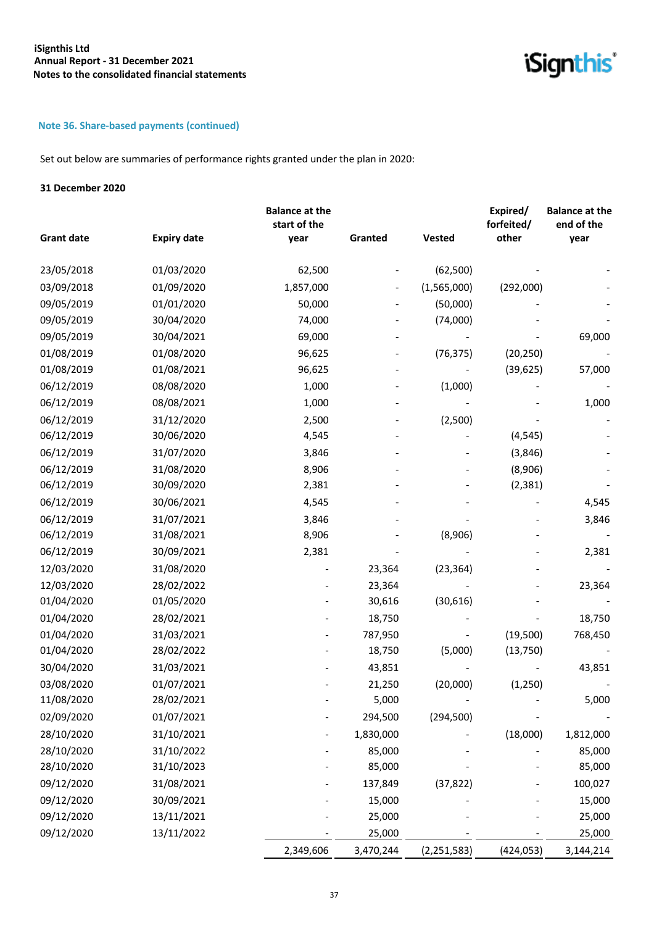iSignthis<sup>®</sup>

## **Note 36. Share-based payments (continued)**

Set out below are summaries of performance rights granted under the plan in 2020:

#### **31 December 2020**

| <b>Grant date</b> | <b>Expiry date</b> | <b>Balance at the</b><br>start of the<br>year | Granted   | <b>Vested</b> | Expired/<br>forfeited/<br>other | <b>Balance at the</b><br>end of the<br>year |
|-------------------|--------------------|-----------------------------------------------|-----------|---------------|---------------------------------|---------------------------------------------|
|                   |                    |                                               |           |               |                                 |                                             |
| 23/05/2018        | 01/03/2020         | 62,500                                        |           | (62, 500)     |                                 |                                             |
| 03/09/2018        | 01/09/2020         | 1,857,000                                     |           | (1,565,000)   | (292,000)                       |                                             |
| 09/05/2019        | 01/01/2020         | 50,000                                        |           | (50,000)      |                                 |                                             |
| 09/05/2019        | 30/04/2020         | 74,000                                        |           | (74,000)      |                                 |                                             |
| 09/05/2019        | 30/04/2021         | 69,000                                        |           |               |                                 | 69,000                                      |
| 01/08/2019        | 01/08/2020         | 96,625                                        |           | (76, 375)     | (20, 250)                       |                                             |
| 01/08/2019        | 01/08/2021         | 96,625                                        |           |               | (39, 625)                       | 57,000                                      |
| 06/12/2019        | 08/08/2020         | 1,000                                         |           | (1,000)       |                                 |                                             |
| 06/12/2019        | 08/08/2021         | 1,000                                         |           |               |                                 | 1,000                                       |
| 06/12/2019        | 31/12/2020         | 2,500                                         |           | (2,500)       |                                 |                                             |
| 06/12/2019        | 30/06/2020         | 4,545                                         |           |               | (4, 545)                        |                                             |
| 06/12/2019        | 31/07/2020         | 3,846                                         |           |               | (3,846)                         |                                             |
| 06/12/2019        | 31/08/2020         | 8,906                                         |           |               | (8,906)                         |                                             |
| 06/12/2019        | 30/09/2020         | 2,381                                         |           |               | (2, 381)                        |                                             |
| 06/12/2019        | 30/06/2021         | 4,545                                         |           |               |                                 | 4,545                                       |
| 06/12/2019        | 31/07/2021         | 3,846                                         |           |               |                                 | 3,846                                       |
| 06/12/2019        | 31/08/2021         | 8,906                                         |           | (8,906)       |                                 |                                             |
| 06/12/2019        | 30/09/2021         | 2,381                                         |           |               |                                 | 2,381                                       |
| 12/03/2020        | 31/08/2020         |                                               | 23,364    | (23, 364)     |                                 |                                             |
| 12/03/2020        | 28/02/2022         |                                               | 23,364    |               |                                 | 23,364                                      |
| 01/04/2020        | 01/05/2020         |                                               | 30,616    | (30, 616)     |                                 |                                             |
| 01/04/2020        | 28/02/2021         |                                               | 18,750    |               |                                 | 18,750                                      |
| 01/04/2020        | 31/03/2021         |                                               | 787,950   |               | (19,500)                        | 768,450                                     |
| 01/04/2020        | 28/02/2022         |                                               | 18,750    | (5,000)       | (13, 750)                       |                                             |
| 30/04/2020        | 31/03/2021         |                                               | 43,851    |               |                                 | 43,851                                      |
| 03/08/2020        | 01/07/2021         |                                               | 21,250    | (20,000)      | (1, 250)                        |                                             |
| 11/08/2020        | 28/02/2021         |                                               | 5,000     |               |                                 | 5,000                                       |
| 02/09/2020        | 01/07/2021         |                                               | 294,500   | (294, 500)    |                                 |                                             |
| 28/10/2020        | 31/10/2021         |                                               | 1,830,000 |               | (18,000)                        | 1,812,000                                   |
| 28/10/2020        | 31/10/2022         |                                               | 85,000    |               |                                 | 85,000                                      |
| 28/10/2020        | 31/10/2023         |                                               | 85,000    |               |                                 | 85,000                                      |
| 09/12/2020        | 31/08/2021         |                                               | 137,849   | (37, 822)     |                                 | 100,027                                     |
| 09/12/2020        | 30/09/2021         |                                               | 15,000    |               |                                 | 15,000                                      |
| 09/12/2020        | 13/11/2021         |                                               | 25,000    |               |                                 | 25,000                                      |
| 09/12/2020        | 13/11/2022         |                                               | 25,000    |               |                                 | 25,000                                      |
|                   |                    | 2,349,606                                     | 3,470,244 | (2, 251, 583) | (424, 053)                      | 3,144,214                                   |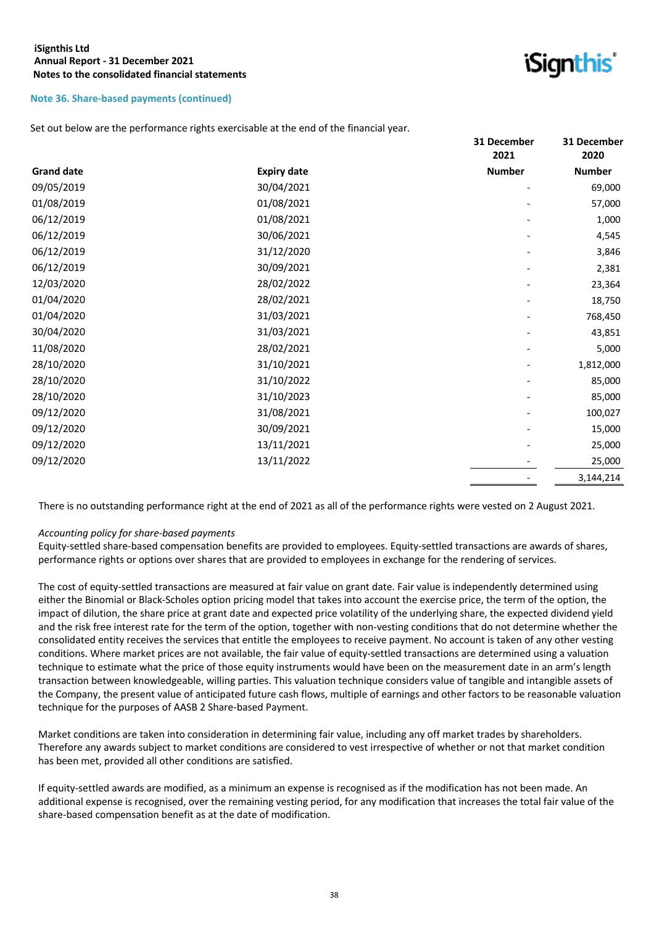#### **Note 36. Share-based payments (continued)**

Set out below are the performance rights exercisable at the end of the financial year.

|                   |                    | 31 December   | 31 December   |
|-------------------|--------------------|---------------|---------------|
|                   |                    | 2021          | 2020          |
| <b>Grand date</b> | <b>Expiry date</b> | <b>Number</b> | <b>Number</b> |
| 09/05/2019        | 30/04/2021         |               | 69,000        |
| 01/08/2019        | 01/08/2021         |               | 57,000        |
| 06/12/2019        | 01/08/2021         |               | 1,000         |
| 06/12/2019        | 30/06/2021         |               | 4,545         |
| 06/12/2019        | 31/12/2020         |               | 3,846         |
| 06/12/2019        | 30/09/2021         |               | 2,381         |
| 12/03/2020        | 28/02/2022         |               | 23,364        |
| 01/04/2020        | 28/02/2021         |               | 18,750        |
| 01/04/2020        | 31/03/2021         |               | 768,450       |
| 30/04/2020        | 31/03/2021         |               | 43,851        |
| 11/08/2020        | 28/02/2021         |               | 5,000         |
| 28/10/2020        | 31/10/2021         |               | 1,812,000     |
| 28/10/2020        | 31/10/2022         |               | 85,000        |
| 28/10/2020        | 31/10/2023         |               | 85,000        |
| 09/12/2020        | 31/08/2021         |               | 100,027       |
| 09/12/2020        | 30/09/2021         |               | 15,000        |
| 09/12/2020        | 13/11/2021         |               | 25,000        |
| 09/12/2020        | 13/11/2022         |               | 25,000        |
|                   |                    |               | 3,144,214     |

*iSianthis* 

There is no outstanding performance right at the end of 2021 as all of the performance rights were vested on 2 August 2021.

#### *Accounting policy for share-based payments*

Equity-settled share-based compensation benefits are provided to employees. Equity-settled transactions are awards of shares, performance rights or options over shares that are provided to employees in exchange for the rendering of services.

The cost of equity-settled transactions are measured at fair value on grant date. Fair value is independently determined using either the Binomial or Black-Scholes option pricing model that takes into account the exercise price, the term of the option, the impact of dilution, the share price at grant date and expected price volatility of the underlying share, the expected dividend yield and the risk free interest rate for the term of the option, together with non-vesting conditions that do not determine whether the consolidated entity receives the services that entitle the employees to receive payment. No account is taken of any other vesting conditions. Where market prices are not available, the fair value of equity-settled transactions are determined using a valuation technique to estimate what the price of those equity instruments would have been on the measurement date in an arm's length transaction between knowledgeable, willing parties. This valuation technique considers value of tangible and intangible assets of the Company, the present value of anticipated future cash flows, multiple of earnings and other factors to be reasonable valuation technique for the purposes of AASB 2 Share-based Payment.

Market conditions are taken into consideration in determining fair value, including any off market trades by shareholders. Therefore any awards subject to market conditions are considered to vest irrespective of whether or not that market condition has been met, provided all other conditions are satisfied.

If equity-settled awards are modified, as a minimum an expense is recognised as if the modification has not been made. An additional expense is recognised, over the remaining vesting period, for any modification that increases the total fair value of the share-based compensation benefit as at the date of modification.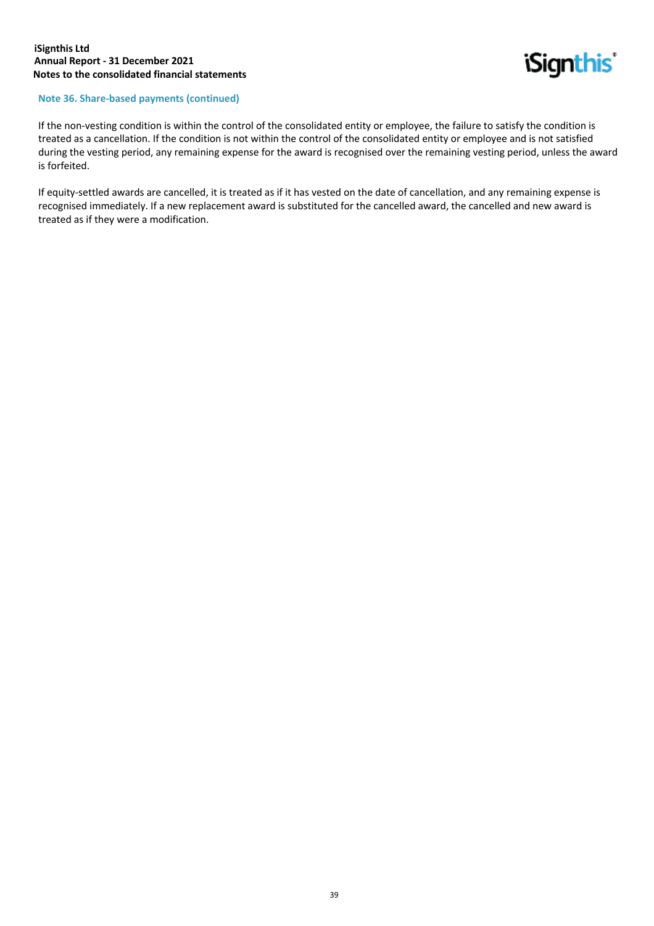

#### **Note 36. Share-based payments (continued)**

If the non-vesting condition is within the control of the consolidated entity or employee, the failure to satisfy the condition is treated as a cancellation. If the condition is not within the control of the consolidated entity or employee and is not satisfied during the vesting period, any remaining expense for the award is recognised over the remaining vesting period, unless the award is forfeited.

If equity-settled awards are cancelled, it is treated as if it has vested on the date of cancellation, and any remaining expense is recognised immediately. If a new replacement award is substituted for the cancelled award, the cancelled and new award is treated as if they were a modification.